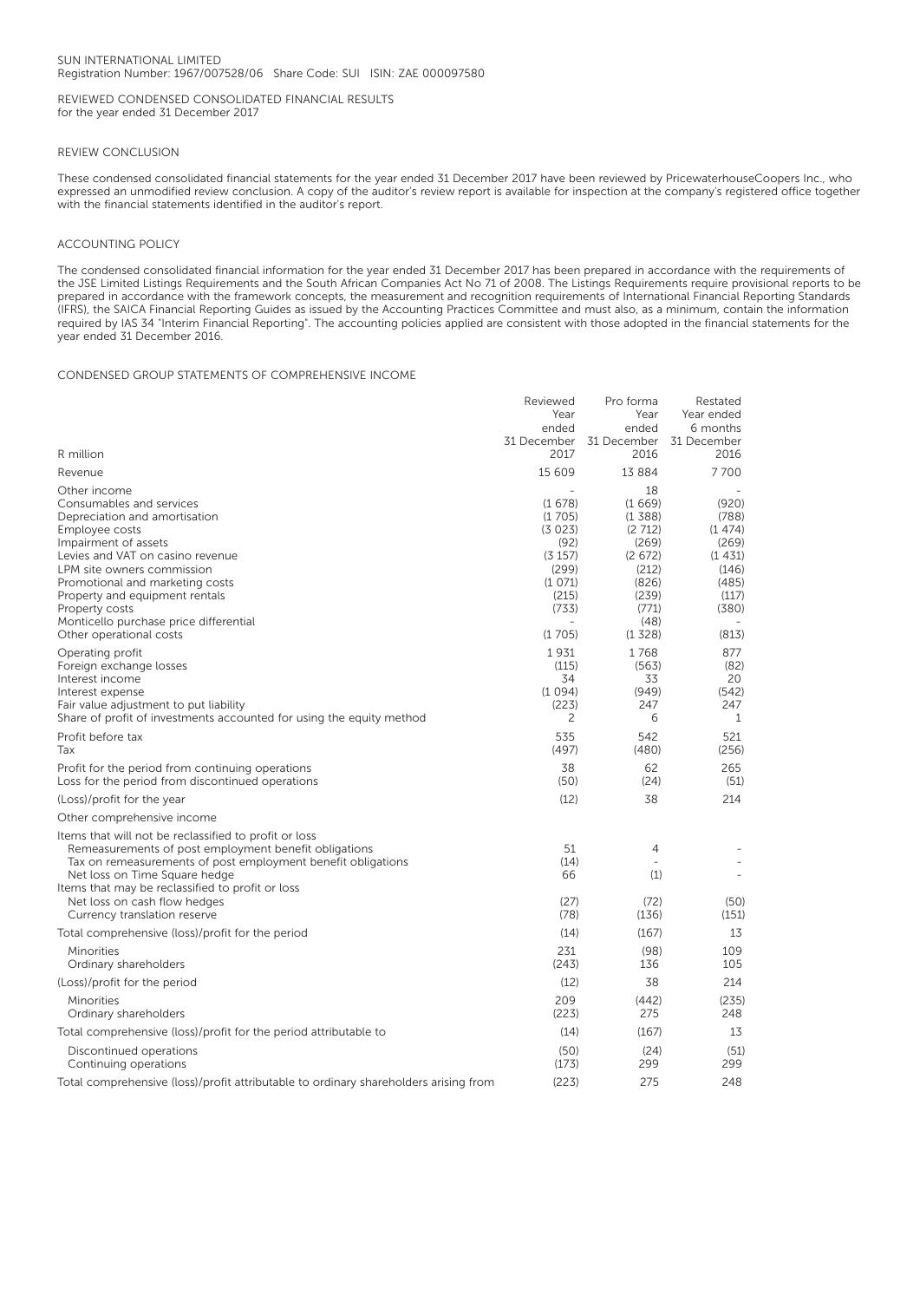## SUN INTERNATIONAL LIMITED Registration Number: 1967/007528/06 Share Code: SUI ISIN: ZAE 000097580

REVIEWED CONDENSED CONSOLIDATED FINANCIAL RESULTS for the year ended 31 December 2017

## REVIEW CONCLUSION

These condensed consolidated financial statements for the year ended 31 December 2017 have been reviewed by PricewaterhouseCoopers Inc., who expressed an unmodified review conclusion. A copy of the auditor's review report is available for inspection at the company's registered office together with the financial statements identified in the auditor's report.

## ACCOUNTING POLICY

The condensed consolidated financial information for the year ended 31 December 2017 has been prepared in accordance with the requirements of the JSE Limited Listings Requirements and the South African Companies Act No 71 of 2008. The Listings Requirements require provisional reports to be prepared in accordance with the framework concepts, the measurement and recognition requirements of International Financial Reporting Standards (IFRS), the SAICA Financial Reporting Guides as issued by the Accounting Practices Committee and must also, as a minimum, contain the information required by IAS 34 "Interim Financial Reporting". The accounting policies applied are consistent with those adopted in the financial statements for the year ended 31 December 2016.

## CONDENSED GROUP STATEMENTS OF COMPREHENSIVE INCOME

|                                                                                                                                                                                                                                                                                                                                                   | Reviewed<br>Year<br>ended<br>31 December                                                     | Pro forma<br>Year<br>ended<br>31 December                                                                 | Restated<br>Year ended<br>6 months<br>31 December                                        |
|---------------------------------------------------------------------------------------------------------------------------------------------------------------------------------------------------------------------------------------------------------------------------------------------------------------------------------------------------|----------------------------------------------------------------------------------------------|-----------------------------------------------------------------------------------------------------------|------------------------------------------------------------------------------------------|
| R million                                                                                                                                                                                                                                                                                                                                         | 2017                                                                                         | 2016                                                                                                      | 2016                                                                                     |
| Revenue                                                                                                                                                                                                                                                                                                                                           | 15 609                                                                                       | 13 8 8 4                                                                                                  | 7700                                                                                     |
| Other income<br>Consumables and services<br>Depreciation and amortisation<br>Employee costs<br>Impairment of assets<br>Levies and VAT on casino revenue<br>LPM site owners commission<br>Promotional and marketing costs<br>Property and equipment rentals<br>Property costs<br>Monticello purchase price differential<br>Other operational costs | (1678)<br>(1705)<br>(3023)<br>(92)<br>(3 157)<br>(299)<br>(1071)<br>(215)<br>(733)<br>(1705) | 18<br>(1669)<br>(1388)<br>(2712)<br>(269)<br>(2672)<br>(212)<br>(826)<br>(239)<br>(771)<br>(48)<br>(1328) | (920)<br>(788)<br>(1474)<br>(269)<br>(1431)<br>(146)<br>(485)<br>(117)<br>(380)<br>(813) |
| Operating profit<br>Foreign exchange losses<br>Interest income<br>Interest expense<br>Fair value adjustment to put liability<br>Share of profit of investments accounted for using the equity method                                                                                                                                              | 1931<br>(115)<br>34<br>(1094)<br>(223)<br>2                                                  | 1768<br>(563)<br>33<br>(949)<br>247<br>6                                                                  | 877<br>(82)<br>20<br>(542)<br>247<br>1                                                   |
| Profit before tax<br>Tax                                                                                                                                                                                                                                                                                                                          | 535<br>(497)                                                                                 | 542<br>(480)                                                                                              | 521<br>(256)                                                                             |
| Profit for the period from continuing operations<br>Loss for the period from discontinued operations                                                                                                                                                                                                                                              | 38<br>(50)                                                                                   | 62<br>(24)                                                                                                | 265<br>(51)                                                                              |
| (Loss)/profit for the year                                                                                                                                                                                                                                                                                                                        | (12)                                                                                         | 38                                                                                                        | 214                                                                                      |
| Other comprehensive income                                                                                                                                                                                                                                                                                                                        |                                                                                              |                                                                                                           |                                                                                          |
| Items that will not be reclassified to profit or loss<br>Remeasurements of post employment benefit obligations<br>Tax on remeasurements of post employment benefit obligations<br>Net loss on Time Square hedge<br>Items that may be reclassified to profit or loss<br>Net loss on cash flow hedges<br>Currency translation reserve               | 51<br>(14)<br>66<br>(27)<br>(78)                                                             | 4<br>(1)<br>(72)<br>(136)                                                                                 | $\overline{a}$<br>(50)<br>(151)                                                          |
| Total comprehensive (loss)/profit for the period                                                                                                                                                                                                                                                                                                  | (14)                                                                                         | (167)                                                                                                     | 13                                                                                       |
| Minorities<br>Ordinary shareholders                                                                                                                                                                                                                                                                                                               | 231<br>(243)                                                                                 | (98)<br>136                                                                                               | 109<br>105                                                                               |
| (Loss)/profit for the period                                                                                                                                                                                                                                                                                                                      | (12)                                                                                         | 38                                                                                                        | 214                                                                                      |
| Minorities<br>Ordinary shareholders                                                                                                                                                                                                                                                                                                               | 209<br>(223)                                                                                 | (442)<br>275                                                                                              | (235)<br>248                                                                             |
| Total comprehensive (loss)/profit for the period attributable to                                                                                                                                                                                                                                                                                  | (14)                                                                                         | (167)                                                                                                     | 13                                                                                       |
| Discontinued operations<br>Continuing operations                                                                                                                                                                                                                                                                                                  | (50)<br>(173)                                                                                | (24)<br>299                                                                                               | (51)<br>299                                                                              |
| Total comprehensive (loss)/profit attributable to ordinary shareholders arising from                                                                                                                                                                                                                                                              | (223)                                                                                        | 275                                                                                                       | 248                                                                                      |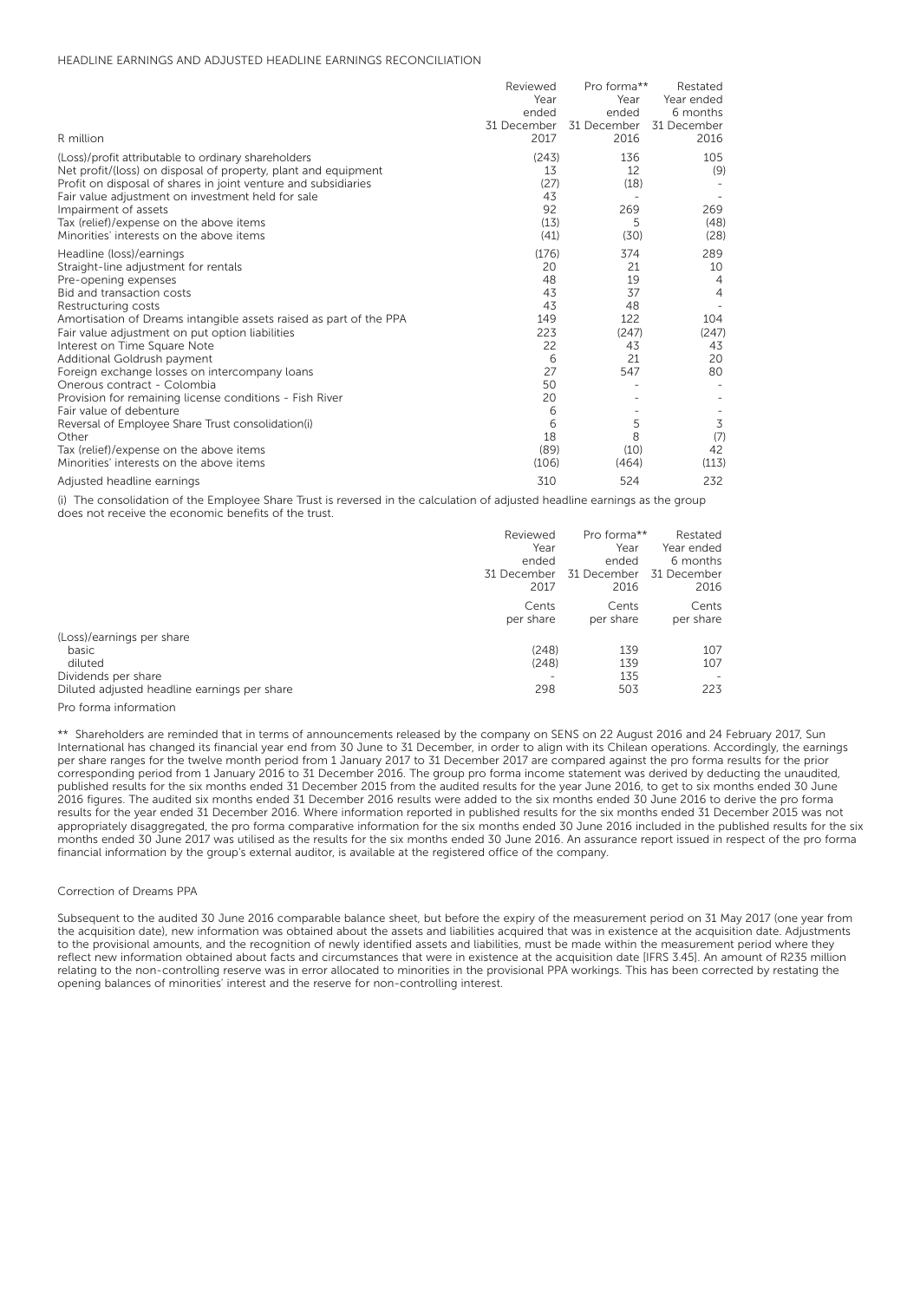## HEADLINE EARNINGS AND ADJUSTED HEADLINE EARNINGS RECONCILIATION

|                                                                                                                       | Reviewed    | Pro forma** | Restated       |
|-----------------------------------------------------------------------------------------------------------------------|-------------|-------------|----------------|
|                                                                                                                       | Year        | Year        | Year ended     |
|                                                                                                                       | ended       | ended       | 6 months       |
|                                                                                                                       | 31 December | 31 December | 31 December    |
| R million                                                                                                             | 2017        | 2016        | 2016           |
| (Loss)/profit attributable to ordinary shareholders<br>Net profit/(loss) on disposal of property, plant and equipment | (243)<br>13 | 136<br>12   | 105<br>(9)     |
| Profit on disposal of shares in joint venture and subsidiaries                                                        | (27)<br>43  | (18)        |                |
| Fair value adjustment on investment held for sale                                                                     | 92          | 269         | 269            |
| Impairment of assets<br>Tax (relief)/expense on the above items                                                       | (13)        | 5           | (48)           |
| Minorities' interests on the above items                                                                              | (41)        | (30)        | (28)           |
| Headline (loss)/earnings                                                                                              | (176)       | 374         | 289            |
| Straight-line adjustment for rentals                                                                                  | 20          | 21          | 10             |
| Pre-opening expenses                                                                                                  | 48          | 19          | 4              |
| Bid and transaction costs                                                                                             | 43          | 37          | $\overline{4}$ |
| Restructuring costs                                                                                                   | 43          | 48          |                |
| Amortisation of Dreams intangible assets raised as part of the PPA                                                    | 149         | 122         | 104            |
| Fair value adjustment on put option liabilities                                                                       | 223         | (247)       | (247)          |
| Interest on Time Square Note                                                                                          | 22          | 43          | 43             |
| Additional Goldrush payment                                                                                           | 6           | 21          | 20             |
| Foreign exchange losses on intercompany loans                                                                         | 27          | 547         | 80             |
| Onerous contract - Colombia                                                                                           | 50          |             |                |
| Provision for remaining license conditions - Fish River                                                               | 20          |             |                |
| Fair value of debenture                                                                                               | 6           |             |                |
| Reversal of Employee Share Trust consolidation(i)                                                                     | 6           | 5           | 3              |
| Other                                                                                                                 | 18          | 8           | (7)            |
| Tax (relief)/expense on the above items                                                                               | (89)        | (10)        | 42             |
| Minorities' interests on the above items                                                                              | (106)       | (464)       | (113)          |
| Adjusted headline earnings                                                                                            | 310         | 524         | 232            |

(i) The consolidation of the Employee Share Trust is reversed in the calculation of adjusted headline earnings as the group does not receive the economic benefits of the trust.

|                                                                                                                      | Reviewed              | Pro forma**              | Restated                                      |
|----------------------------------------------------------------------------------------------------------------------|-----------------------|--------------------------|-----------------------------------------------|
|                                                                                                                      | Year                  | Year                     | Year ended                                    |
|                                                                                                                      | ended                 | ended                    | 6 months                                      |
|                                                                                                                      | 31 December           | 31 December              | 31 December                                   |
|                                                                                                                      | 2017                  | 2016                     | 2016                                          |
|                                                                                                                      | Cents                 | Cents                    | Cents                                         |
|                                                                                                                      | per share             | per share                | per share                                     |
| (Loss)/earnings per share<br>basic<br>diluted<br>Dividends per share<br>Diluted adjusted headline earnings per share | (248)<br>(248)<br>298 | 139<br>139<br>135<br>503 | 107<br>107<br>$\overline{\phantom{0}}$<br>223 |
| Pro forma information                                                                                                |                       |                          |                                               |

\*\* Shareholders are reminded that in terms of announcements released by the company on SENS on 22 August 2016 and 24 February 2017, Sun International has changed its financial year end from 30 June to 31 December, in order to align with its Chilean operations. Accordingly, the earnings per share ranges for the twelve month period from 1 January 2017 to 31 December 2017 are compared against the pro forma results for the prior corresponding period from 1 January 2016 to 31 December 2016. The group pro forma income statement was derived by deducting the unaudited, published results for the six months ended 31 December 2015 from the audited results for the year June 2016, to get to six months ended 30 June 2016 figures. The audited six months ended 31 December 2016 results were added to the six months ended 30 June 2016 to derive the pro forma results for the year ended 31 December 2016. Where information reported in published results for the six months ended 31 December 2015 was not appropriately disaggregated, the pro forma comparative information for the six months ended 30 June 2016 included in the published results for the six months ended 30 June 2017 was utilised as the results for the six months ended 30 June 2016. An assurance report issued in respect of the pro forma financial information by the group's external auditor, is available at the registered office of the company.

#### Correction of Dreams PPA

Subsequent to the audited 30 June 2016 comparable balance sheet, but before the expiry of the measurement period on 31 May 2017 (one year from the acquisition date), new information was obtained about the assets and liabilities acquired that was in existence at the acquisition date. Adjustments to the provisional amounts, and the recognition of newly identified assets and liabilities, must be made within the measurement period where they reflect new information obtained about facts and circumstances that were in existence at the acquisition date [IFRS 3.45]. An amount of R235 million relating to the non-controlling reserve was in error allocated to minorities in the provisional PPA workings. This has been corrected by restating the opening balances of minorities' interest and the reserve for non-controlling interest.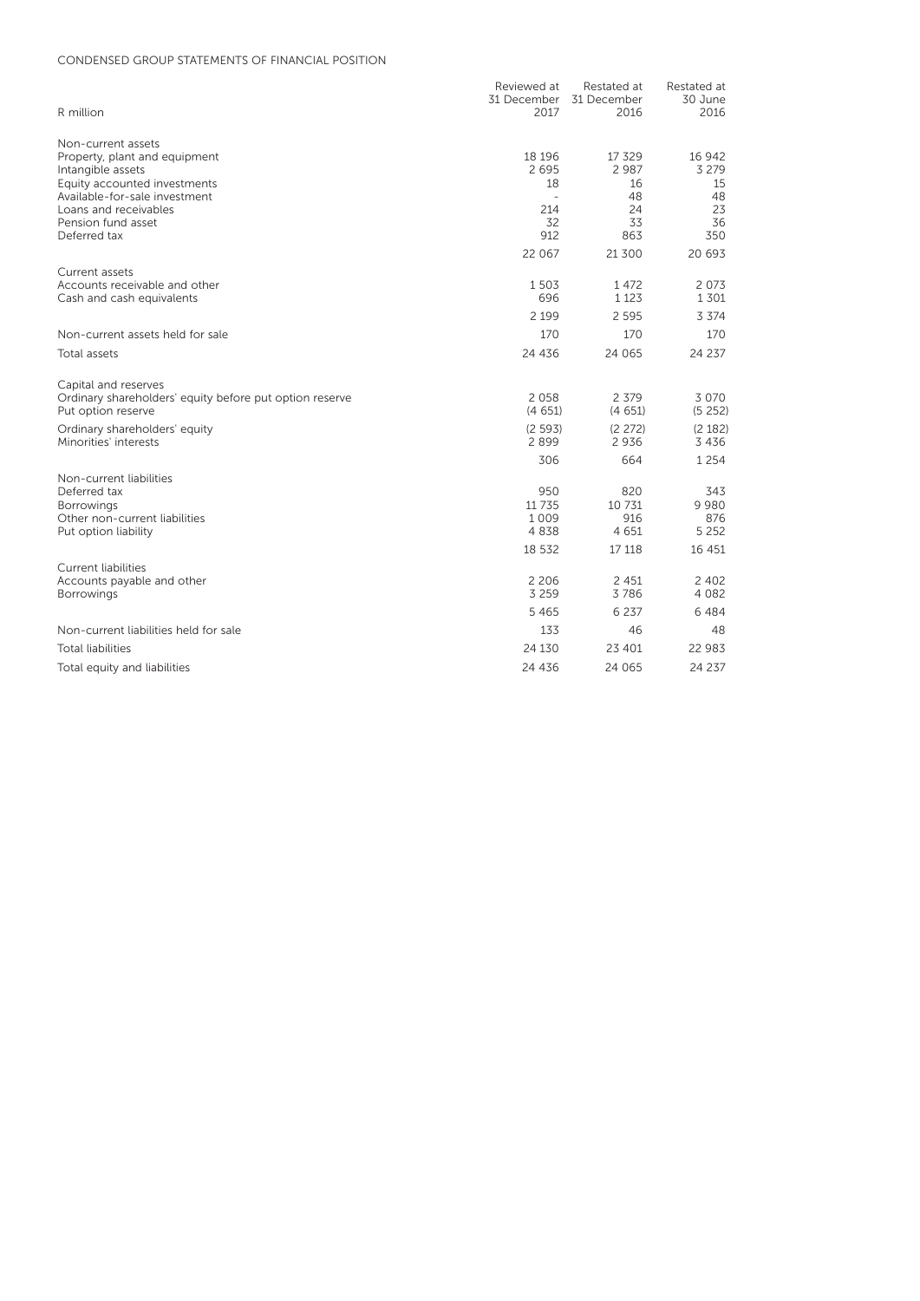# CONDENSED GROUP STATEMENTS OF FINANCIAL POSITION

|                                                               | Reviewed at          | Restated at   | Restated at |
|---------------------------------------------------------------|----------------------|---------------|-------------|
|                                                               | 31 December          | 31 December   | 30 June     |
| R million                                                     | 2017                 | 2016          | 2016        |
| Non-current assets                                            |                      |               |             |
| Property, plant and equipment                                 | 18 19 6              | 17 329        | 16 942      |
| Intangible assets                                             | 2695                 | 2 9 8 7       | 3 2 7 9     |
| Equity accounted investments<br>Available-for-sale investment | 18<br>$\overline{a}$ | 16<br>48      | 15<br>48    |
| Loans and receivables                                         | 214                  | 24            | 23          |
| Pension fund asset                                            | 32                   | 33            | 36          |
| Deferred tax                                                  | 912                  | 863           | 350         |
|                                                               | 22 067               | 21 300        | 20 693      |
| Current assets                                                |                      |               |             |
| Accounts receivable and other                                 | 1503                 | 1472          | 2 0 7 3     |
| Cash and cash equivalents                                     | 696                  | 1 1 2 3       | 1301        |
|                                                               | 2 1 9 9              | 2 5 9 5       | 3 3 7 4     |
| Non-current assets held for sale                              | 170                  | 170           | 170         |
| Total assets                                                  | 24 436               | 24 065        | 24 237      |
| Capital and reserves                                          |                      |               |             |
| Ordinary shareholders' equity before put option reserve       | 2058                 | 2 3 7 9       | 3 0 7 0     |
| Put option reserve                                            | (4651)               | (4651)        | (5252)      |
| Ordinary shareholders' equity                                 | (2593)               | (2 272)       | (2 182)     |
| Minorities' interests                                         | 2899                 | 2936          | 3436        |
|                                                               | 306                  | 664           | 1 2 5 4     |
| Non-current liabilities                                       |                      |               |             |
| Deferred tax<br><b>Borrowings</b>                             | 950<br>11 7 3 5      | 820<br>10 731 | 343<br>9980 |
| Other non-current liabilities                                 | 1009                 | 916           | 876         |
| Put option liability                                          | 4838                 | 4 6 5 1       | 5 2 5 2     |
|                                                               | 18 532               | 17 118        | 16 451      |
| <b>Current liabilities</b>                                    |                      |               |             |
| Accounts payable and other                                    | 2 2 0 6              | 2 4 5 1       | 2 4 0 2     |
| <b>Borrowings</b>                                             | 3 2 5 9              | 3786          | 4 0 8 2     |
|                                                               | 5 4 6 5              | 6 2 3 7       | 6484        |
| Non-current liabilities held for sale                         | 133                  | 46            | 48          |
| <b>Total liabilities</b>                                      | 24 130               | 23 401        | 22 983      |
| Total equity and liabilities                                  | 24 436               | 24 065        | 24 237      |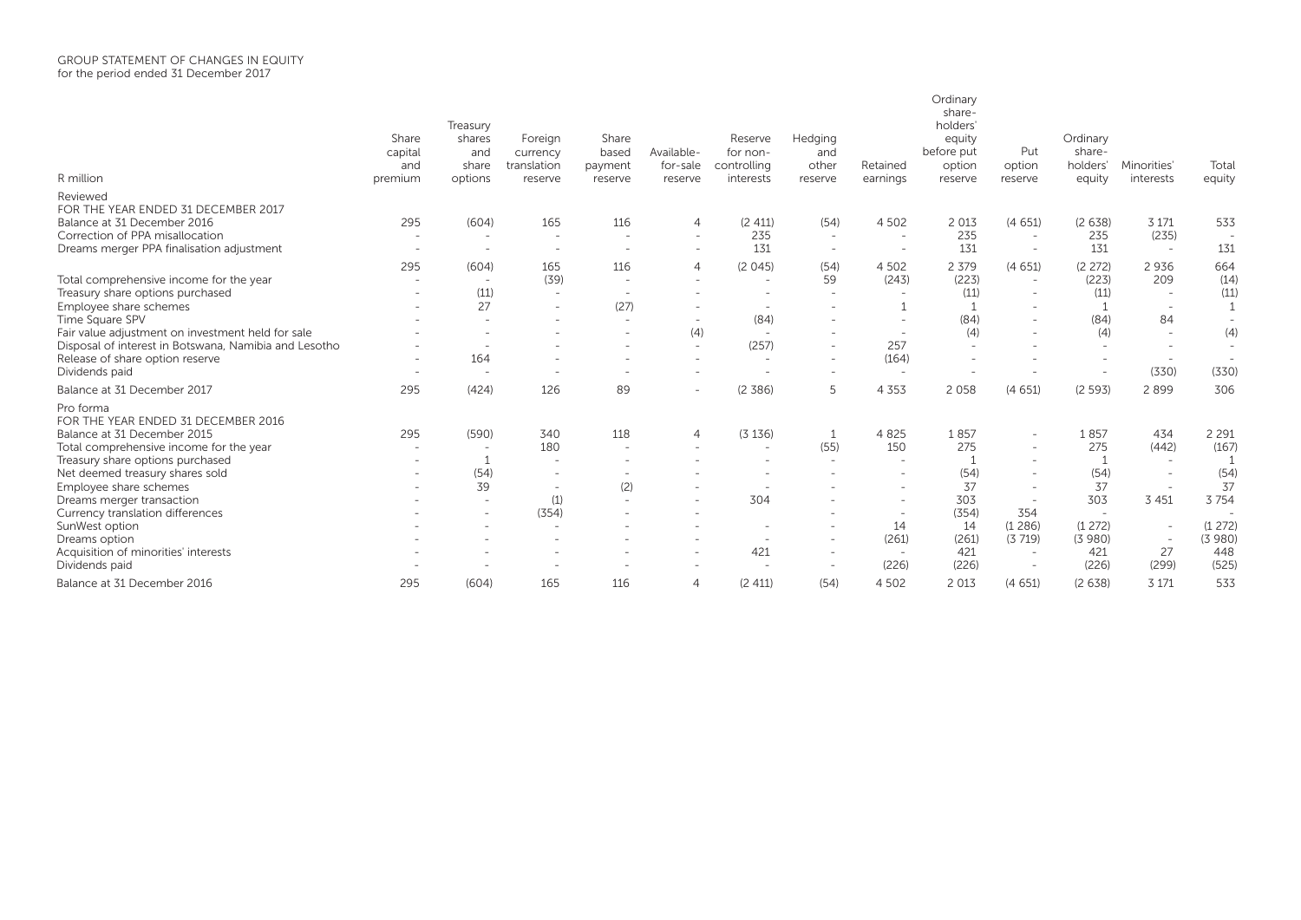| R million                                             | Share<br>capital<br>and<br>premium | Treasury<br>shares<br>and<br>share<br>options | Foreign<br>currency<br>translation<br>reserve | Share<br>based<br>payment<br>reserve | Available-<br>for-sale<br>reserve | Reserve<br>for non-<br>controlling<br>interests | Hedging<br>and<br>other<br>reserve | Retained<br>earnings     | Ordinary<br>share-<br>holders'<br>equity<br>before put<br>option<br>reserve | Put<br>option<br>reserve | Ordinary<br>share-<br>holders'<br>equity | Minorities'<br>interests | Total<br>equity          |
|-------------------------------------------------------|------------------------------------|-----------------------------------------------|-----------------------------------------------|--------------------------------------|-----------------------------------|-------------------------------------------------|------------------------------------|--------------------------|-----------------------------------------------------------------------------|--------------------------|------------------------------------------|--------------------------|--------------------------|
| Reviewed                                              |                                    |                                               |                                               |                                      |                                   |                                                 |                                    |                          |                                                                             |                          |                                          |                          |                          |
| FOR THE YEAR ENDED 31 DECEMBER 2017                   |                                    |                                               |                                               |                                      |                                   |                                                 |                                    |                          |                                                                             |                          |                                          |                          |                          |
| Balance at 31 December 2016                           | 295                                | (604)                                         | 165                                           | 116                                  | 4                                 | (2 411)                                         | (54)                               | 4 5 0 2                  | 2 0 1 3                                                                     | (4651)                   | (2638)                                   | 3 1 7 1                  | 533                      |
| Correction of PPA misallocation                       |                                    | $\overline{\phantom{a}}$                      | $\sim$                                        |                                      | $\overline{\phantom{a}}$          | 235                                             | $\overline{\phantom{a}}$           | $\overline{\phantom{0}}$ | 235                                                                         |                          | 235                                      | (235)                    |                          |
| Dreams merger PPA finalisation adjustment             |                                    | $\overline{\phantom{a}}$                      | $\overline{\phantom{a}}$                      |                                      | $\sim$                            | 131                                             | $\overline{\phantom{a}}$           | $\overline{\phantom{a}}$ | 131                                                                         |                          | 131                                      | $\overline{\phantom{a}}$ | 131                      |
|                                                       | 295                                | (604)                                         | 165                                           | 116                                  | 4                                 | (2045)                                          | (54)                               | 4 5 0 2                  | 2 3 7 9                                                                     | (4651)                   | (2 272)                                  | 2936                     | 664                      |
| Total comprehensive income for the year               |                                    |                                               | (39)                                          |                                      |                                   |                                                 | 59                                 | (243)                    | (223)                                                                       |                          | (223)                                    | 209                      | (14)                     |
| Treasury share options purchased                      |                                    | (11)                                          | $\overline{\phantom{a}}$                      |                                      |                                   |                                                 |                                    |                          | (11)                                                                        |                          | (11)                                     | $\overline{\phantom{a}}$ | (11)                     |
| Employee share schemes                                |                                    | 27                                            | $\overline{\phantom{a}}$                      | (27)                                 | $\overline{\phantom{a}}$          |                                                 |                                    |                          |                                                                             |                          |                                          | $\overline{\phantom{a}}$ | $\mathbf{1}$             |
| Time Square SPV                                       |                                    |                                               | $\overline{\phantom{a}}$                      |                                      | $\overline{\phantom{a}}$          | (84)                                            |                                    |                          | (84)                                                                        |                          | (84)                                     | 84                       | $\overline{\phantom{a}}$ |
| Fair value adjustment on investment held for sale     |                                    |                                               |                                               |                                      | (4)                               |                                                 |                                    |                          | (4)                                                                         |                          | (4)                                      | $\sim$                   | (4)                      |
| Disposal of interest in Botswana, Namibia and Lesotho |                                    |                                               |                                               |                                      | $\overline{\phantom{a}}$          | (257)                                           |                                    | 257                      |                                                                             |                          | $\overline{\phantom{a}}$                 | $\overline{a}$           | $\overline{\phantom{a}}$ |
| Release of share option reserve                       |                                    | 164                                           |                                               |                                      | $\overline{\phantom{a}}$          |                                                 |                                    | (164)                    |                                                                             |                          | $\overline{\phantom{a}}$                 | $\overline{a}$           | $\overline{\phantom{a}}$ |
| Dividends paid                                        |                                    |                                               |                                               |                                      | $\overline{\phantom{a}}$          |                                                 |                                    | $\overline{\phantom{a}}$ |                                                                             |                          | $\overline{\phantom{a}}$                 | (330)                    | (330)                    |
| Balance at 31 December 2017                           | 295                                | (424)                                         | 126                                           | 89                                   | $\overline{\phantom{a}}$          | (2, 386)                                        | 5                                  | 4 3 5 3                  | 2 0 5 8                                                                     | (4651)                   | (2593)                                   | 2899                     | 306                      |
| Pro forma                                             |                                    |                                               |                                               |                                      |                                   |                                                 |                                    |                          |                                                                             |                          |                                          |                          |                          |
| FOR THE YEAR ENDED 31 DECEMBER 2016                   |                                    |                                               |                                               |                                      |                                   |                                                 |                                    |                          |                                                                             |                          |                                          |                          |                          |
| Balance at 31 December 2015                           | 295                                | (590)                                         | 340                                           | 118                                  | $\overline{4}$                    | (3136)                                          |                                    | 4 8 2 5                  | 1857                                                                        | $\overline{\phantom{a}}$ | 1857                                     | 434                      | 2 2 9 1                  |
| Total comprehensive income for the year               |                                    |                                               | 180                                           |                                      |                                   | $\overline{\phantom{a}}$                        | (55)                               | 150                      | 275                                                                         |                          | 275                                      | (442)                    | (167)                    |
| Treasury share options purchased                      |                                    |                                               |                                               |                                      |                                   |                                                 |                                    | $\overline{\phantom{0}}$ |                                                                             |                          | $\sqrt{1}$                               | $\sim$                   | $\overline{1}$           |
| Net deemed treasury shares sold                       |                                    | (54)                                          |                                               |                                      |                                   |                                                 |                                    |                          | (54)                                                                        | $\overline{\phantom{a}}$ | (54)                                     | $\overline{\phantom{a}}$ | (54)                     |
| Employee share schemes                                |                                    | 39                                            |                                               | (2)                                  |                                   |                                                 |                                    |                          | 37                                                                          |                          | 37                                       | $\overline{\phantom{a}}$ | 37                       |
| Dreams merger transaction                             |                                    |                                               | (1)                                           |                                      | $\overline{\phantom{a}}$          | 304                                             |                                    |                          | 303                                                                         | 354                      | 303                                      | 3 4 5 1                  | 3754                     |
| Currency translation differences<br>SunWest option    |                                    |                                               | (354)                                         |                                      |                                   |                                                 |                                    | 14                       | (354)<br>14                                                                 | (1286)                   | (1272)                                   | $\overline{\phantom{a}}$ | (1272)                   |
| Dreams option                                         |                                    |                                               |                                               |                                      |                                   |                                                 |                                    | (261)                    | (261)                                                                       | (3719)                   | (3980)                                   | $\overline{\phantom{a}}$ | (3980)                   |
| Acquisition of minorities' interests                  |                                    |                                               |                                               |                                      | $\overline{\phantom{a}}$          | 421                                             |                                    | $\overline{\phantom{a}}$ | 421                                                                         | $\overline{\phantom{a}}$ | 421                                      | 27                       | 448                      |
| Dividends paid                                        |                                    |                                               |                                               |                                      |                                   |                                                 |                                    | (226)                    | (226)                                                                       | $\overline{\phantom{a}}$ | (226)                                    | (299)                    | (525)                    |
| Balance at 31 December 2016                           | 295                                | (604)                                         | 165                                           | 116                                  | $\overline{4}$                    | (2411)                                          | (54)                               | 4 5 0 2                  | 2 0 1 3                                                                     | (4651)                   | (2638)                                   | 3 1 7 1                  | 533                      |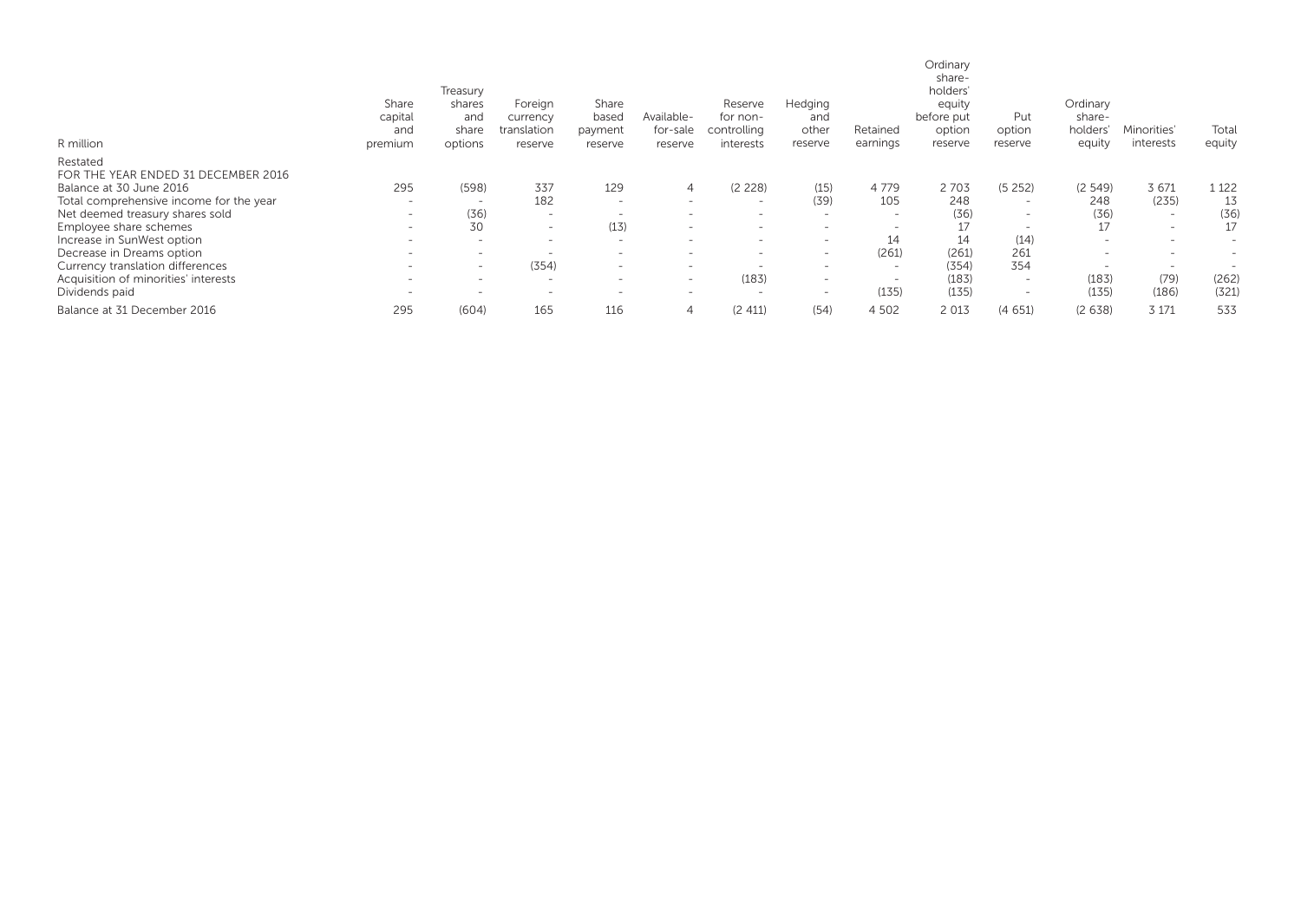| R million                                       | Share<br>capital<br>and<br>premium | Treasury<br>shares<br>and<br>share<br>options | Foreign<br>currency<br>translation<br>reserve | Share<br>based<br>payment<br>reserve | Available-<br>for-sale<br>reserve | Reserve<br>for non-<br>controlling<br>interests | Hedging<br>and<br>other<br>reserve | Retained<br>earnings     | Ordinary<br>share-<br>holders'<br>equity<br>before put<br>option<br>reserve | Put<br>option<br>reserve | Ordinary<br>share-<br>holders'<br>equity | Minorities'<br>interests | Total<br>equity          |
|-------------------------------------------------|------------------------------------|-----------------------------------------------|-----------------------------------------------|--------------------------------------|-----------------------------------|-------------------------------------------------|------------------------------------|--------------------------|-----------------------------------------------------------------------------|--------------------------|------------------------------------------|--------------------------|--------------------------|
| Restated<br>FOR THE YEAR ENDED 31 DECEMBER 2016 |                                    |                                               |                                               |                                      |                                   |                                                 |                                    |                          |                                                                             |                          |                                          |                          |                          |
| Balance at 30 June 2016                         | 295                                | (598)                                         | 337                                           | 129                                  | 4                                 | (2 228)                                         | (15)                               | 4 7 7 9                  | 2703                                                                        | (5252)                   | (2, 549)                                 | 3 671                    | 1 1 2 2                  |
| Total comprehensive income for the year         | $\overline{\phantom{0}}$           | $\overline{\phantom{a}}$                      | 182                                           | $\overline{\phantom{0}}$             | $\overline{\phantom{0}}$          | $\overline{\phantom{0}}$                        | (39)                               | 105                      | 248                                                                         | $\overline{\phantom{0}}$ | 248                                      | (235)                    | 13                       |
| Net deemed treasury shares sold                 | $\qquad \qquad =$                  | (36)                                          | $\overline{\phantom{0}}$                      |                                      | $\overline{\phantom{0}}$          | $\overline{\phantom{a}}$                        | $\overline{\phantom{a}}$           | $\overline{\phantom{0}}$ | (36)                                                                        | $\overline{\phantom{0}}$ | (36)                                     | $\overline{\phantom{a}}$ | (36)                     |
| Employee share schemes                          | $\overline{\phantom{0}}$           | 30                                            | $\overline{\phantom{a}}$                      | (13)                                 | $\overline{\phantom{a}}$          | $\overline{\phantom{a}}$                        | $\qquad \qquad$                    |                          | 17                                                                          | $\overline{\phantom{0}}$ | 17                                       | $\overline{\phantom{a}}$ | 17                       |
| Increase in SunWest option                      | $\overline{\phantom{0}}$           | $\overline{\phantom{0}}$                      | $\overline{\phantom{a}}$                      | $\overline{\phantom{a}}$             | $\overline{\phantom{0}}$          | $\overline{\phantom{0}}$                        | $\overline{\phantom{a}}$           | 14                       | 14                                                                          | (14)                     | $\overline{\phantom{a}}$                 | $\overline{\phantom{0}}$ | $\overline{\phantom{0}}$ |
| Decrease in Dreams option                       | $\overline{\phantom{0}}$           | $\overline{\phantom{0}}$                      | $\overline{\phantom{a}}$                      | $\qquad \qquad$                      | $\overline{\phantom{0}}$          | $\overline{\phantom{0}}$                        | $\overline{\phantom{0}}$           | (261)                    | (261)                                                                       | 261                      | $\overline{\phantom{a}}$                 | $\overline{\phantom{0}}$ | $\overline{\phantom{a}}$ |
| Currency translation differences                | $\overline{\phantom{a}}$           | $\overline{\phantom{a}}$                      | (354)                                         | $\overline{\phantom{a}}$             | $\overline{\phantom{0}}$          | $\overline{\phantom{a}}$                        | $\overline{\phantom{a}}$           | $\overline{\phantom{0}}$ | (354)                                                                       | 354                      | $\overline{\phantom{0}}$                 | $\overline{\phantom{a}}$ | <u>_</u>                 |
| Acquisition of minorities' interests            | $\overline{\phantom{0}}$           | $\overline{\phantom{0}}$                      | $\overline{\phantom{0}}$                      | $\overline{\phantom{a}}$             | $\overline{\phantom{0}}$          | (183)                                           | $\overline{\phantom{0}}$           | $\overline{\phantom{0}}$ | (183)                                                                       | $\overline{\phantom{0}}$ | (183)                                    | (79)                     | (262)                    |
| Dividends paid                                  | $\overline{\phantom{a}}$           | $\qquad \qquad$                               | $\overline{\phantom{0}}$                      | $\overline{\phantom{a}}$             | $\overline{\phantom{0}}$          | $\overline{\phantom{a}}$                        | $\overline{\phantom{0}}$           | (135)                    | (135)                                                                       | $\overline{\phantom{0}}$ | (135)                                    | (186)                    | (321)                    |
| Balance at 31 December 2016                     | 295                                | (604)                                         | 165                                           | 116                                  | 4                                 | (2 411)                                         | (54)                               | 4 5 0 2                  | 2 0 1 3                                                                     | (4651)                   | (2638)                                   | 3 1 7 1                  | 533                      |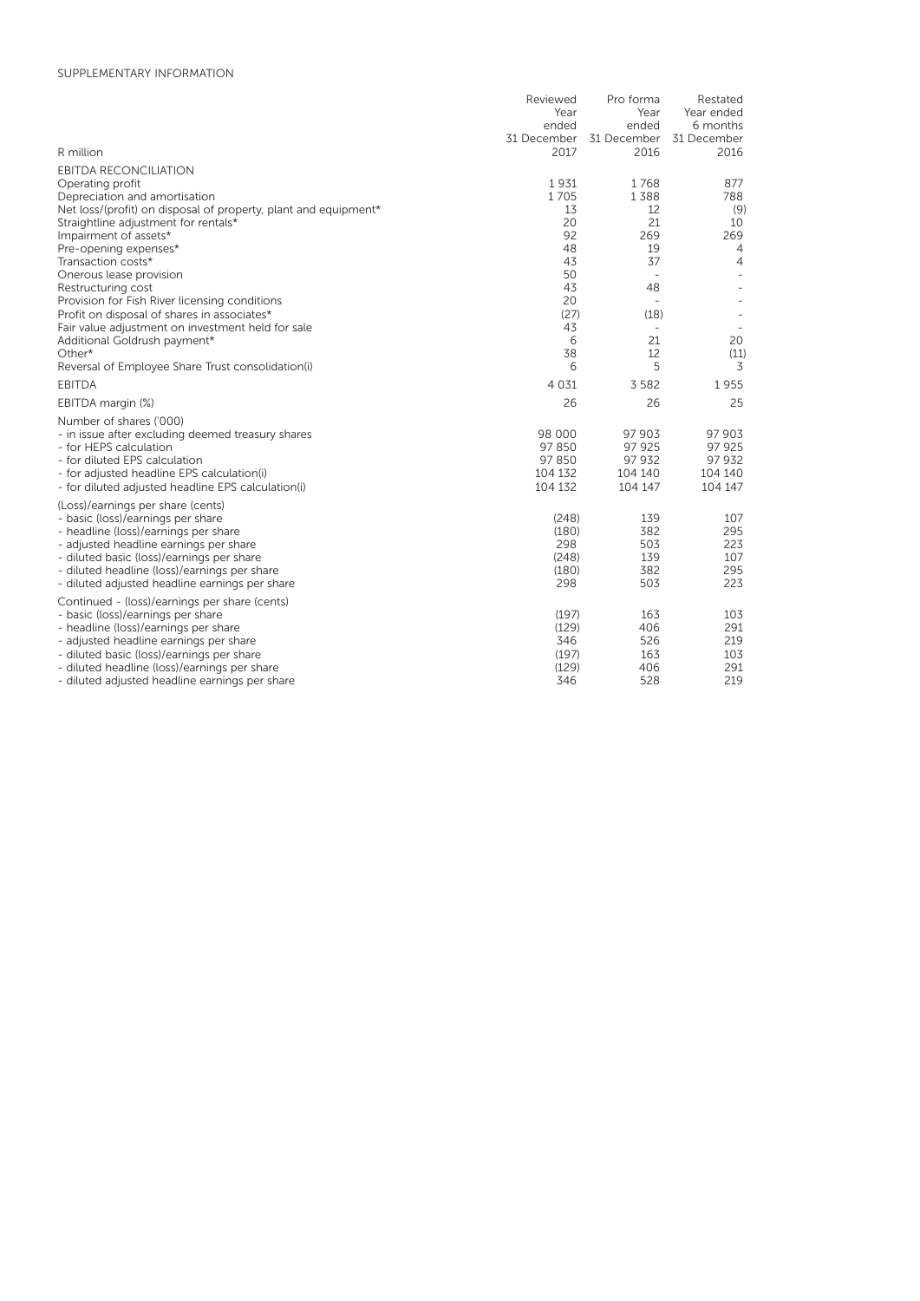# SUPPLEMENTARY INFORMATION

|                                                                           | Reviewed | Pro forma                           | Restated       |
|---------------------------------------------------------------------------|----------|-------------------------------------|----------------|
|                                                                           | Year     | Year                                | Year ended     |
|                                                                           | ended    | ended                               | 6 months       |
|                                                                           |          | 31 December 31 December 31 December |                |
| R million                                                                 | 2017     | 2016                                | 2016           |
| <b>EBITDA RECONCILIATION</b>                                              |          |                                     |                |
| Operating profit                                                          | 1931     | 1768                                | 877            |
| Depreciation and amortisation                                             | 1705     | 1388                                | 788            |
| Net loss/(profit) on disposal of property, plant and equipment*           | 13       | 12                                  | (9)            |
| Straightline adjustment for rentals*                                      | 20       | 21                                  | 10             |
| Impairment of assets*                                                     | 92       | 269                                 | 269            |
| Pre-opening expenses*                                                     | 48       | 19                                  | $\overline{4}$ |
| Transaction costs*                                                        | 43       | 37                                  | $\overline{4}$ |
| Onerous lease provision                                                   | 50       | $\overline{a}$                      |                |
| Restructuring cost                                                        | 43       | 48                                  |                |
| Provision for Fish River licensing conditions                             | 20       |                                     |                |
| Profit on disposal of shares in associates*                               | (27)     | (18)                                |                |
| Fair value adjustment on investment held for sale                         | 43       |                                     |                |
| Additional Goldrush payment*                                              | 6        | 21                                  | 20             |
| Other*                                                                    | 38       | 12                                  | (11)           |
| Reversal of Employee Share Trust consolidation(i)                         | 6        | 5                                   | 3              |
| <b>EBITDA</b>                                                             | 4 0 3 1  | 3 5 8 2                             | 1955           |
| EBITDA margin (%)                                                         | 26       | 26                                  | 25             |
| Number of shares ('000)                                                   |          |                                     |                |
| - in issue after excluding deemed treasury shares                         | 98 000   | 97 903                              | 97 903         |
| - for HEPS calculation                                                    | 97850    | 97 925                              | 97 925         |
| - for diluted EPS calculation                                             | 97850    | 97 932                              | 97 932         |
| - for adjusted headline EPS calculation(i)                                | 104 132  | 104 140                             | 104 140        |
| - for diluted adjusted headline EPS calculation(i)                        | 104 132  | 104 147                             | 104 147        |
| (Loss)/earnings per share (cents)                                         |          |                                     |                |
|                                                                           | (248)    | 139                                 | 107            |
| - basic (loss)/earnings per share<br>- headline (loss)/earnings per share | (180)    | 382                                 | 295            |
| - adjusted headline earnings per share                                    | 298      | 503                                 | 223            |
| - diluted basic (loss)/earnings per share                                 | (248)    | 139                                 | 107            |
| - diluted headline (loss)/earnings per share                              | (180)    | 382                                 | 295            |
| - diluted adjusted headline earnings per share                            | 298      | 503                                 | 223            |
|                                                                           |          |                                     |                |
| Continued - (loss)/earnings per share (cents)                             |          |                                     |                |
| - basic (loss)/earnings per share                                         | (197)    | 163                                 | 103            |
| - headline (loss)/earnings per share                                      | (129)    | 406                                 | 291            |
| - adjusted headline earnings per share                                    | 346      | 526                                 | 219            |
| - diluted basic (loss)/earnings per share                                 | (197)    | 163                                 | 103            |
| - diluted headline (loss)/earnings per share                              | (129)    | 406                                 | 291            |
| - diluted adjusted headline earnings per share                            | 346      | 528                                 | 219            |
|                                                                           |          |                                     |                |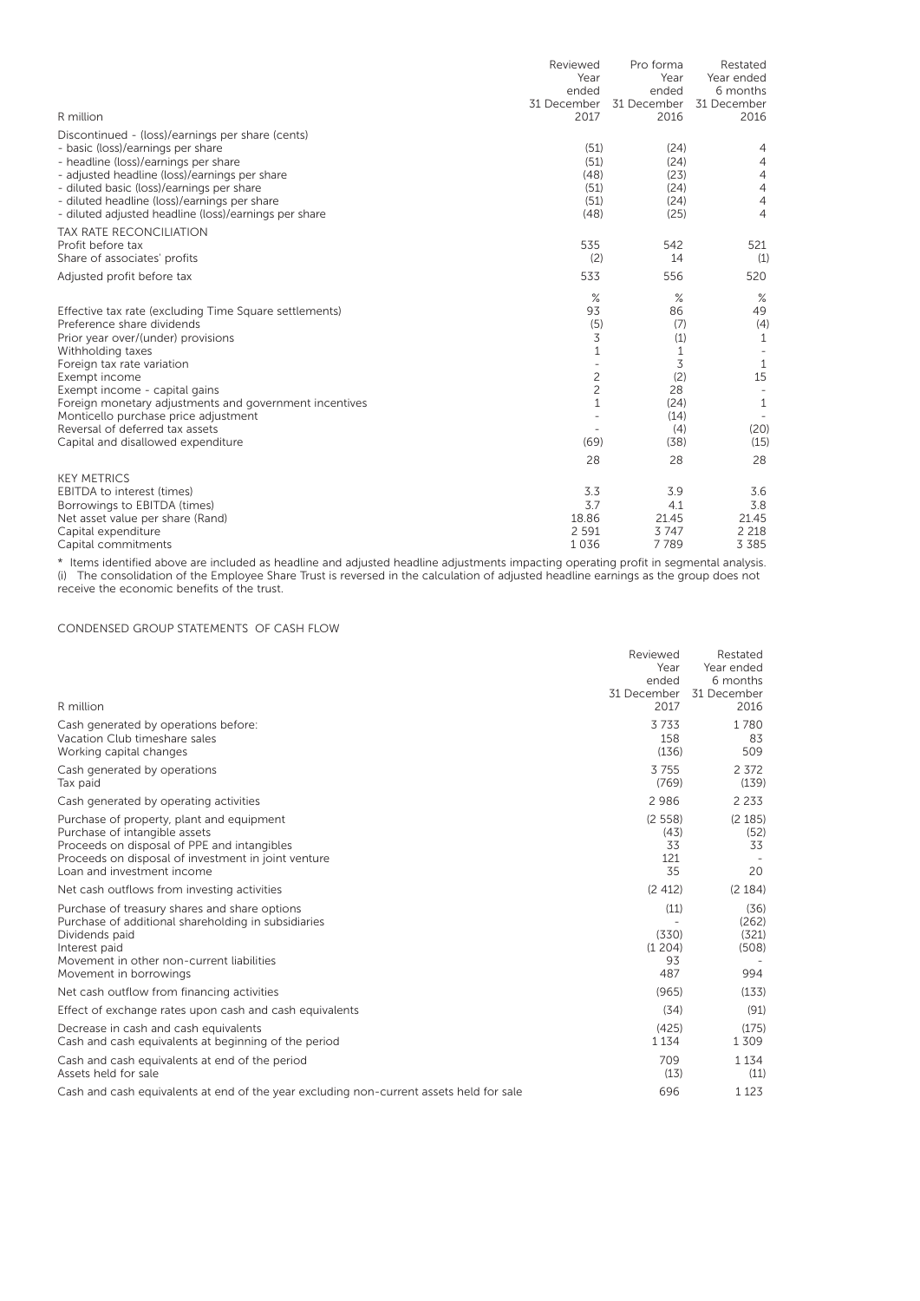| R million                                                                                                                                                                                                                                                                                                                                                                                                  | Reviewed<br>Year<br>ended<br>31 December<br>2017                                   | Pro forma<br>Year<br>ended<br>31 December<br>2016                                    | Restated<br>Year ended<br>6 months<br>31 December<br>2016                                   |
|------------------------------------------------------------------------------------------------------------------------------------------------------------------------------------------------------------------------------------------------------------------------------------------------------------------------------------------------------------------------------------------------------------|------------------------------------------------------------------------------------|--------------------------------------------------------------------------------------|---------------------------------------------------------------------------------------------|
| Discontinued - (loss)/earnings per share (cents)<br>- basic (loss)/earnings per share<br>- headline (loss)/earnings per share<br>- adjusted headline (loss)/earnings per share<br>- diluted basic (loss)/earnings per share<br>- diluted headline (loss)/earnings per share<br>- diluted adjusted headline (loss)/earnings per share                                                                       | (51)<br>(51)<br>(48)<br>(51)<br>(51)<br>(48)                                       | (24)<br>(24)<br>(23)<br>(24)<br>(24)<br>(25)                                         | 4<br>$\overline{4}$<br>$\overline{4}$<br>$\overline{4}$<br>$\overline{4}$<br>$\overline{4}$ |
| <b>TAX RATE RECONCILIATION</b><br>Profit before tax<br>Share of associates' profits                                                                                                                                                                                                                                                                                                                        | 535<br>(2)                                                                         | 542<br>14                                                                            | 521<br>(1)                                                                                  |
| Adjusted profit before tax                                                                                                                                                                                                                                                                                                                                                                                 | 533                                                                                | 556                                                                                  | 520                                                                                         |
| Effective tax rate (excluding Time Square settlements)<br>Preference share dividends<br>Prior year over/(under) provisions<br>Withholding taxes<br>Foreign tax rate variation<br>Exempt income<br>Exempt income - capital gains<br>Foreign monetary adjustments and government incentives<br>Monticello purchase price adjustment<br>Reversal of deferred tax assets<br>Capital and disallowed expenditure | $\%$<br>93<br>(5)<br>3<br>1<br>$\overline{c}$<br>$\overline{c}$<br>1<br>(69)<br>28 | $\%$<br>86<br>(7)<br>(1)<br>1<br>3<br>(2)<br>28<br>(24)<br>(14)<br>(4)<br>(38)<br>28 | $\%$<br>49<br>(4)<br>1<br>1<br>15<br>1<br>(20)<br>(15)<br>28                                |
| <b>KEY METRICS</b><br><b>EBITDA</b> to interest (times)<br>Borrowings to EBITDA (times)<br>Net asset value per share (Rand)<br>Capital expenditure<br>Capital commitments                                                                                                                                                                                                                                  | 3.3<br>3.7<br>18.86<br>2 5 9 1<br>1036                                             | 3.9<br>4.1<br>21.45<br>3747<br>7789                                                  | 3.6<br>3.8<br>21.45<br>2 2 1 8<br>3 3 8 5                                                   |

\* Items identified above are included as headline and adjusted headline adjustments impacting operating profit in segmental analysis. (i) The consolidation of the Employee Share Trust is reversed in the calculation of adjusted headline earnings as the group does not receive the economic benefits of the trust.

# CONDENSED GROUP STATEMENTS OF CASH FLOW

| R million                                                                                                                                                                                                      | Reviewed<br>Year<br>ended<br>31 December<br>2017 | Restated<br>Year ended<br>6 months<br>31 December<br>2016 |
|----------------------------------------------------------------------------------------------------------------------------------------------------------------------------------------------------------------|--------------------------------------------------|-----------------------------------------------------------|
| Cash generated by operations before:<br>Vacation Club timeshare sales<br>Working capital changes                                                                                                               | 3733<br>158<br>(136)                             | 1780<br>83<br>509                                         |
| Cash generated by operations<br>Tax paid                                                                                                                                                                       | 3755<br>(769)                                    | 2 3 7 2<br>(139)                                          |
| Cash generated by operating activities                                                                                                                                                                         | 2986                                             | 2 2 3 3                                                   |
| Purchase of property, plant and equipment<br>Purchase of intangible assets<br>Proceeds on disposal of PPE and intangibles<br>Proceeds on disposal of investment in joint venture<br>Loan and investment income | (2558)<br>(43)<br>33<br>121<br>35                | (2 185)<br>(52)<br>33<br>20                               |
| Net cash outflows from investing activities                                                                                                                                                                    | (2 412)                                          | (2 184)                                                   |
| Purchase of treasury shares and share options<br>Purchase of additional shareholding in subsidiaries<br>Dividends paid<br>Interest paid<br>Movement in other non-current liabilities<br>Movement in borrowings | (11)<br>(330)<br>(1204)<br>93<br>487             | (36)<br>(262)<br>(321)<br>(508)<br>994                    |
| Net cash outflow from financing activities                                                                                                                                                                     | (965)                                            | (133)                                                     |
| Effect of exchange rates upon cash and cash equivalents                                                                                                                                                        | (34)                                             | (91)                                                      |
| Decrease in cash and cash equivalents<br>Cash and cash equivalents at beginning of the period                                                                                                                  | (425)<br>1 1 3 4                                 | (175)<br>1 3 0 9                                          |
| Cash and cash equivalents at end of the period<br>Assets held for sale                                                                                                                                         | 709<br>(13)                                      | 1 1 3 4<br>(11)                                           |
| Cash and cash equivalents at end of the year excluding non-current assets held for sale                                                                                                                        | 696                                              | 1 1 2 3                                                   |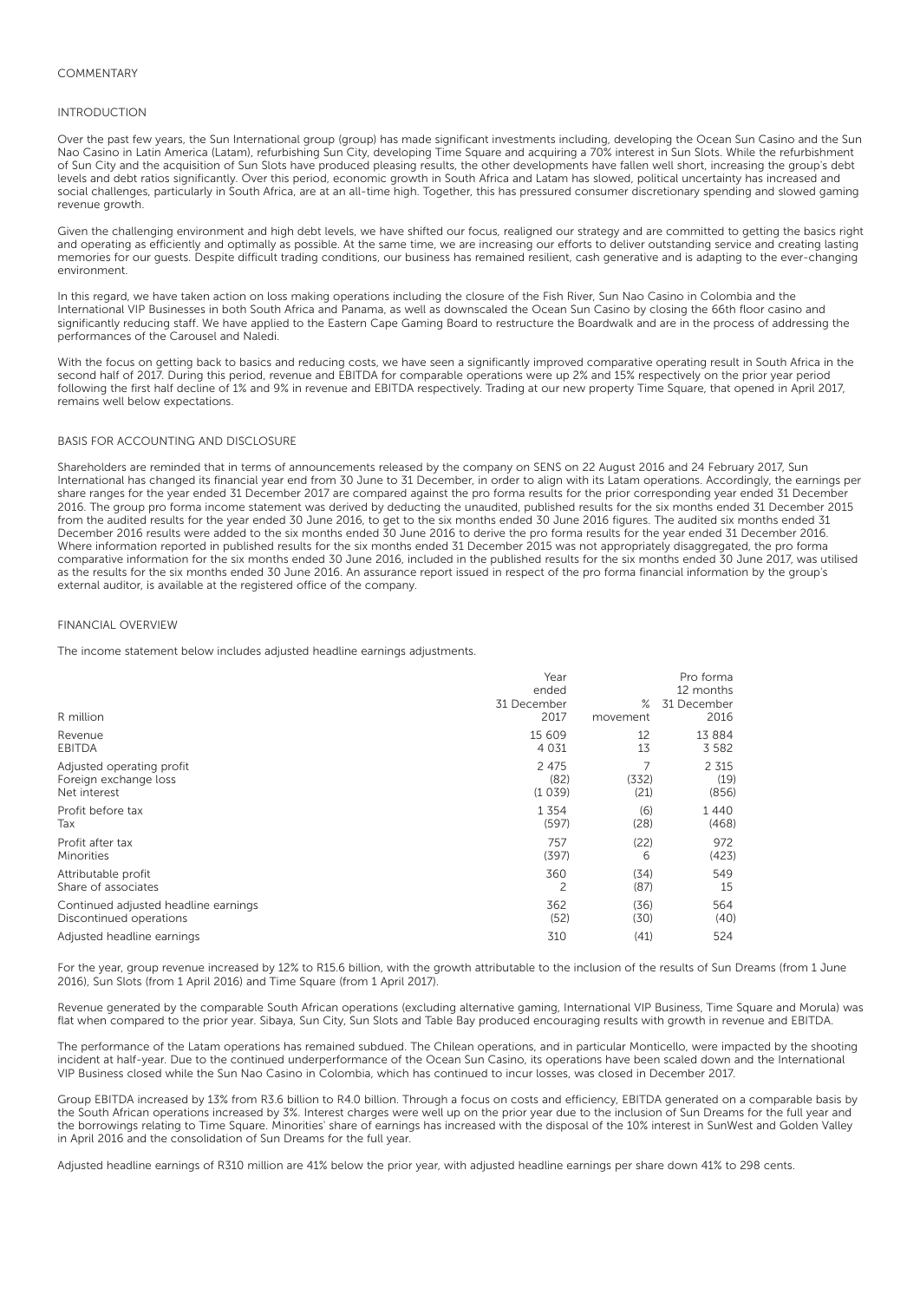## INTRODUCTION

Over the past few years, the Sun International group (group) has made significant investments including, developing the Ocean Sun Casino and the Sun Nao Casino in Latin America (Latam), refurbishing Sun City, developing Time Square and acquiring a 70% interest in Sun Slots. While the refurbishment of Sun City and the acquisition of Sun Slots have produced pleasing results, the other developments have fallen well short, increasing the group's debt levels and debt ratios significantly. Over this period, economic growth in South Africa and Latam has slowed, political uncertainty has increased and social challenges, particularly in South Africa, are at an all-time high. Together, this has pressured consumer discretionary spending and slowed gaming revenue growth.

Given the challenging environment and high debt levels, we have shifted our focus, realigned our strategy and are committed to getting the basics right and operating as efficiently and optimally as possible. At the same time, we are increasing our efforts to deliver outstanding service and creating lasting memories for our guests. Despite difficult trading conditions, our business has remained resilient, cash generative and is adapting to the ever-changing environment.

In this regard, we have taken action on loss making operations including the closure of the Fish River, Sun Nao Casino in Colombia and the International VIP Businesses in both South Africa and Panama, as well as downscaled the Ocean Sun Casino by closing the 66th floor casino and significantly reducing staff. We have applied to the Eastern Cape Gaming Board to restructure the Boardwalk and are in the process of addressing the performances of the Carousel and Naledi.

With the focus on getting back to basics and reducing costs, we have seen a significantly improved comparative operating result in South Africa in the second half of 2017. During this period, revenue and EBITDA for comparable operations were up 2% and 15% respectively on the prior year period following the first half decline of 1% and 9% in revenue and EBITDA respectively. Trading at our new property Time Square, that opened in April 2017, remains well below expectations.

## BASIS FOR ACCOUNTING AND DISCLOSURE

Shareholders are reminded that in terms of announcements released by the company on SENS on 22 August 2016 and 24 February 2017, Sun International has changed its financial year end from 30 June to 31 December, in order to align with its Latam operations. Accordingly, the earnings per share ranges for the year ended 31 December 2017 are compared against the pro forma results for the prior corresponding year ended 31 December 2016. The group pro forma income statement was derived by deducting the unaudited, published results for the six months ended 31 December 2015 from the audited results for the year ended 30 June 2016, to get to the six months ended 30 June 2016 figures. The audited six months ended 31 December 2016 results were added to the six months ended 30 June 2016 to derive the pro forma results for the year ended 31 December 2016. Where information reported in published results for the six months ended 31 December 2015 was not appropriately disaggregated, the pro forma comparative information for the six months ended 30 June 2016, included in the published results for the six months ended 30 June 2017, was utilised as the results for the six months ended 30 June 2016. An assurance report issued in respect of the pro forma financial information by the group's external auditor, is available at the registered office of the company.

### FINANCIAL OVERVIEW

The income statement below includes adjusted headline earnings adjustments.

| R million                                                          | Year<br>ended<br>31 December<br>2017 | ℅<br>movement | Pro forma<br>12 months<br>31 December<br>2016 |
|--------------------------------------------------------------------|--------------------------------------|---------------|-----------------------------------------------|
| Revenue                                                            | 15 609                               | 12            | 13 8 8 4                                      |
| EBITDA                                                             | 4 0 3 1                              | 13            | 3 5 8 2                                       |
| Adjusted operating profit<br>Foreign exchange loss<br>Net interest | 2 4 7 5<br>(82)<br>(1039)            | (332)<br>(21) | 2 3 1 5<br>(19)<br>(856)                      |
| Profit before tax                                                  | 1 3 5 4                              | (6)           | 1440                                          |
| Tax                                                                | (597)                                | (28)          | (468)                                         |
| Profit after tax                                                   | 757                                  | (22)          | 972                                           |
| Minorities                                                         | (397)                                | 6             | (423)                                         |
| Attributable profit                                                | 360                                  | (34)          | 549                                           |
| Share of associates                                                | 2                                    | (87)          | 15                                            |
| Continued adjusted headline earnings                               | 362                                  | (36)          | 564                                           |
| Discontinued operations                                            | (52)                                 | (30)          | (40)                                          |
| Adjusted headline earnings                                         | 310                                  | (41)          | 524                                           |

For the year, group revenue increased by 12% to R15.6 billion, with the growth attributable to the inclusion of the results of Sun Dreams (from 1 June 2016), Sun Slots (from 1 April 2016) and Time Square (from 1 April 2017).

Revenue generated by the comparable South African operations (excluding alternative gaming, International VIP Business, Time Square and Morula) was flat when compared to the prior year. Sibaya, Sun City, Sun Slots and Table Bay produced encouraging results with growth in revenue and EBITDA.

The performance of the Latam operations has remained subdued. The Chilean operations, and in particular Monticello, were impacted by the shooting incident at half-year. Due to the continued underperformance of the Ocean Sun Casino, its operations have been scaled down and the International VIP Business closed while the Sun Nao Casino in Colombia, which has continued to incur losses, was closed in December 2017.

Group EBITDA increased by 13% from R3.6 billion to R4.0 billion. Through a focus on costs and efficiency, EBITDA generated on a comparable basis by the South African operations increased by 3%. Interest charges were well up on the prior year due to the inclusion of Sun Dreams for the full year and the borrowings relating to Time Square. Minorities' share of earnings has increased with the disposal of the 10% interest in SunWest and Golden Valley in April 2016 and the consolidation of Sun Dreams for the full year.

Adjusted headline earnings of R310 million are 41% below the prior year, with adjusted headline earnings per share down 41% to 298 cents.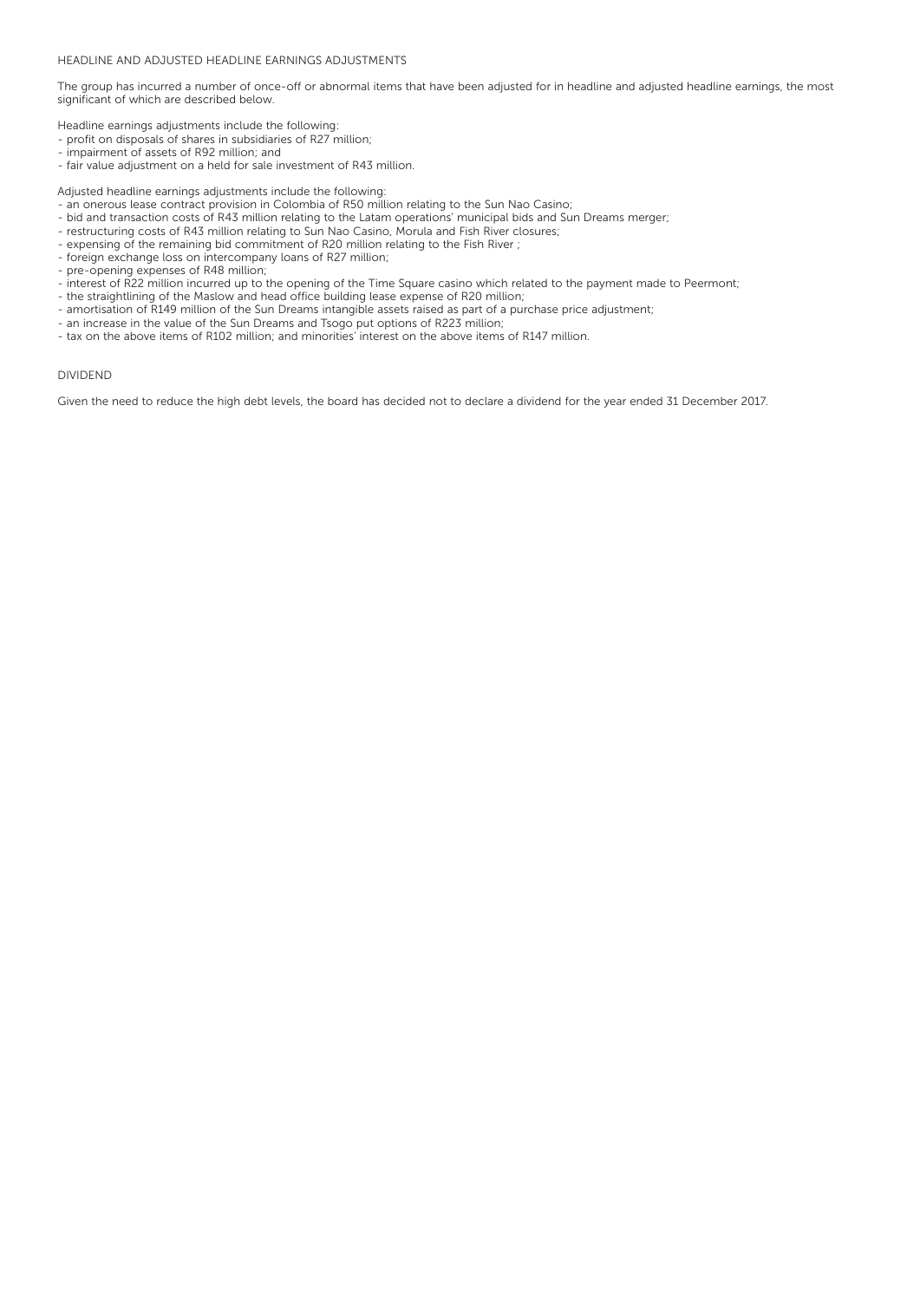## HEADLINE AND ADJUSTED HEADLINE EARNINGS ADJUSTMENTS

The group has incurred a number of once-off or abnormal items that have been adjusted for in headline and adjusted headline earnings, the most significant of which are described below.

Headline earnings adjustments include the following:

- profit on disposals of shares in subsidiaries of R27 million;
- impairment of assets of R92 million; and
- fair value adjustment on a held for sale investment of R43 million.

Adjusted headline earnings adjustments include the following:

- an onerous lease contract provision in Colombia of R50 million relating to the Sun Nao Casino;
- bid and transaction costs of R43 million relating to the Latam operations' municipal bids and Sun Dreams merger;
- restructuring costs of R43 million relating to Sun Nao Casino, Morula and Fish River closures;
- expensing of the remaining bid commitment of R20 million relating to the Fish River ;
- foreign exchange loss on intercompany loans of R27 million;
- pre-opening expenses of R48 million;
- interest of R22 million incurred up to the opening of the Time Square casino which related to the payment made to Peermont;
- the straightlining of the Maslow and head office building lease expense of R20 million;
- amortisation of R149 million of the Sun Dreams intangible assets raised as part of a purchase price adjustment;
- an increase in the value of the Sun Dreams and Tsogo put options of R223 million;
- tax on the above items of R102 million; and minorities' interest on the above items of R147 million.

### DIVIDEND

Given the need to reduce the high debt levels, the board has decided not to declare a dividend for the year ended 31 December 2017.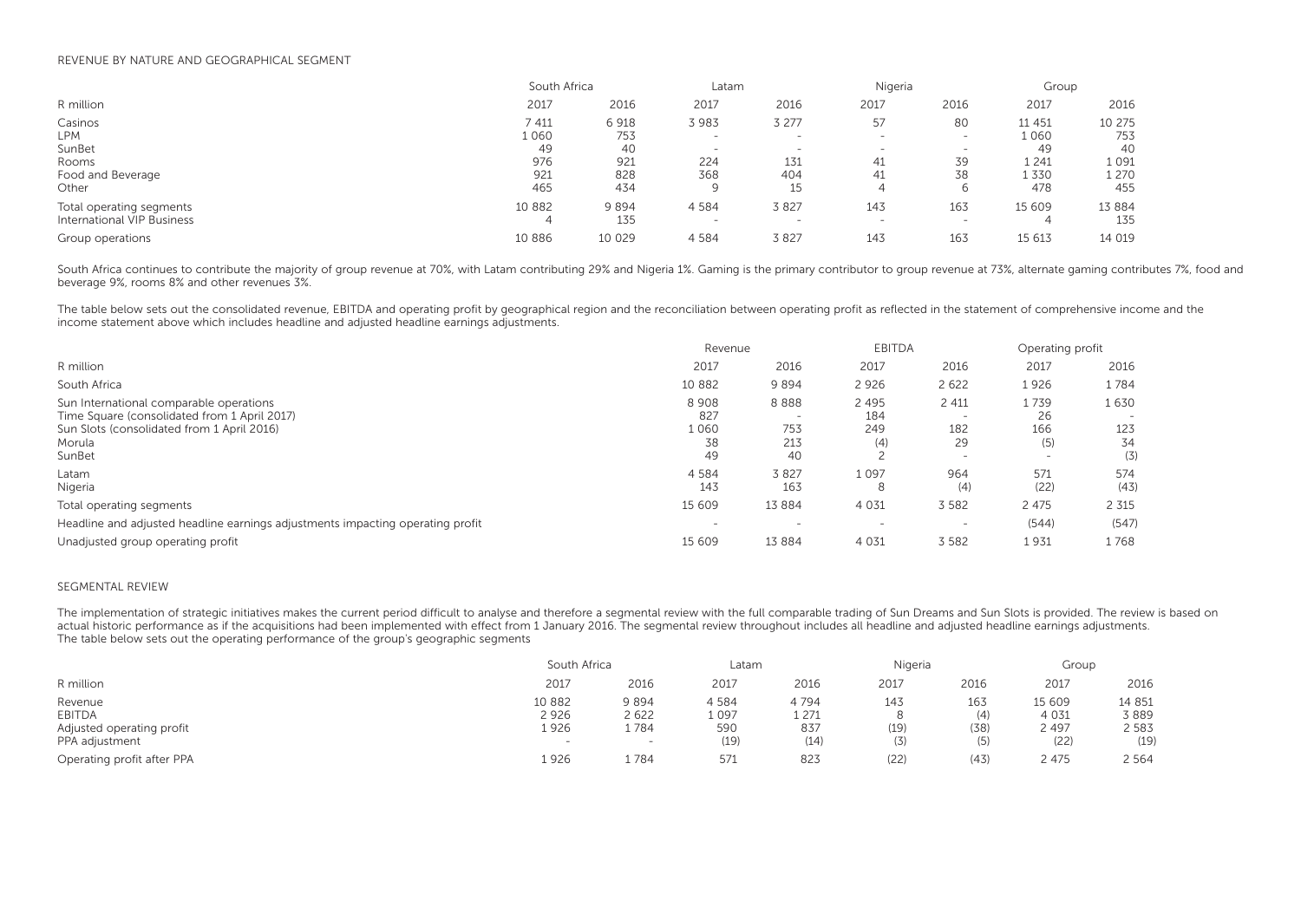### REVENUE BY NATURE AND GEOGRAPHICAL SEGMENT

|                            |          | South Africa |      | Latam                    |                          | Nigeria |         | Group    |  |
|----------------------------|----------|--------------|------|--------------------------|--------------------------|---------|---------|----------|--|
| R million                  | 2017     | 2016         | 2017 | 2016                     | 2017                     | 2016    | 2017    | 2016     |  |
| Casinos                    | 7 411    | 6918         | 3983 | 3 277                    | 57                       | 80      | 11 451  | 10 275   |  |
| LPM                        | 1 060    | 753          |      | $\overline{\phantom{a}}$ | $\overline{\phantom{0}}$ | $\sim$  | 1060    | 753      |  |
| SunBet                     | 49       | 40           |      | $\overline{\phantom{0}}$ | $\overline{\phantom{0}}$ |         | 49      | 40       |  |
| Rooms                      | 976      | 921          | 224  | 131                      | 41                       | 39      | 1 2 4 1 | 1 0 9 1  |  |
| Food and Beverage          | 921      | 828          | 368  | 404                      | 41                       | 38      | 1 3 3 0 | 1 270    |  |
| Other                      | 465      | 434          |      | 15                       |                          |         | 478     | 455      |  |
| Total operating segments   | 10 8 8 2 | 9894         | 4584 | 3827                     | 143                      | 163     | 15 609  | 13 8 8 4 |  |
| International VIP Business |          | 135          |      |                          |                          |         | 4       | 135      |  |
| Group operations           | 10 886   | 10 0 29      | 4584 | 3827                     | 143                      | 163     | 15 613  | 14 019   |  |

South Africa continues to contribute the majority of group revenue at 70%, with Latam contributing 29% and Nigeria 1%. Gaming is the primary contributor to group revenue at 73%, alternate gaming contributes 7%, food and beverage 9%, rooms 8% and other revenues 3%.

The table below sets out the consolidated revenue, EBITDA and operating profit by geographical region and the reconciliation between operating profit as reflected in the statement of comprehensive income and the income statement above which includes headline and adjusted headline earnings adjustments.

|                                                                                                                                                           | Revenue                         |                          |                              | <b>EBITDA</b>                                                                |                                                      | Operating profit         |  |
|-----------------------------------------------------------------------------------------------------------------------------------------------------------|---------------------------------|--------------------------|------------------------------|------------------------------------------------------------------------------|------------------------------------------------------|--------------------------|--|
| R million                                                                                                                                                 | 2017                            | 2016                     | 2017                         | 2016                                                                         | 2017                                                 | 2016                     |  |
| South Africa                                                                                                                                              | 10 882                          | 9894                     | 2 9 2 6                      | 2 6 2 2                                                                      | 1926                                                 | 1784                     |  |
| Sun International comparable operations<br>Time Square (consolidated from 1 April 2017)<br>Sun Slots (consolidated from 1 April 2016)<br>Morula<br>SunBet | 8908<br>827<br>1060<br>38<br>49 | 8888<br>753<br>213<br>40 | 2 4 9 5<br>184<br>249<br>(4) | 2 4 1 1<br>$\overline{\phantom{0}}$<br>182<br>29<br>$\overline{\phantom{a}}$ | 1739<br>26<br>166<br>(5)<br>$\overline{\phantom{0}}$ | 1630<br>123<br>34<br>(3) |  |
| Latam<br>Nigeria                                                                                                                                          | 4 5 8 4<br>143                  | 3827<br>163              | 1097<br>8                    | 964<br>(4)                                                                   | 571<br>(22)                                          | 574<br>(43)              |  |
| Total operating segments                                                                                                                                  | 15 609                          | 13884                    | 4 0 3 1                      | 3 5 8 2                                                                      | 2 4 7 5                                              | 2 3 1 5                  |  |
| Headline and adjusted headline earnings adjustments impacting operating profit                                                                            | $\overline{\phantom{0}}$        |                          | $\overline{\phantom{a}}$     | $\overline{\phantom{a}}$                                                     | (544)                                                | (547)                    |  |
| Unadjusted group operating profit                                                                                                                         | 15 609                          | 13884                    | 4 0 3 1                      | 3 5 8 2                                                                      | 1931                                                 | 1768                     |  |

### SEGMENTAL REVIEW

The implementation of strategic initiatives makes the current period difficult to analyse and therefore a segmental review with the full comparable trading of Sun Dreams and Sun Slots is provided. The review is based on actual historic performance as if the acquisitions had been implemented with effect from 1 January 2016. The segmental review throughout includes all headline and adjusted headline earnings adjustments. The table below sets out the operating performance of the group's geographic segments

|                                                                  | South Africa                                       |                                 | Latam                       |                                | Nigeria            |                           | Group                                |                                     |
|------------------------------------------------------------------|----------------------------------------------------|---------------------------------|-----------------------------|--------------------------------|--------------------|---------------------------|--------------------------------------|-------------------------------------|
| R million                                                        | 2017                                               | 2016                            | 2017                        | 2016                           | 2017               | 2016                      | 2017                                 | 2016                                |
| Revenue<br>EBITDA<br>Adjusted operating profit<br>PPA adjustment | 10 882<br>2926<br>1926<br>$\overline{\phantom{0}}$ | 9 894<br>2622<br>1784<br>$\sim$ | 4584<br>1097<br>590<br>(19) | 4794<br>1 2 7 1<br>837<br>(14) | 143<br>(19)<br>(3) | 163<br>(4)<br>(38)<br>(5) | 15 609<br>4 0 3 1<br>2 4 9 7<br>(22) | 14 8 5 1<br>3889<br>2 5 8 3<br>(19) |
| Operating profit after PPA                                       | 1 926                                              | 1784                            | 571                         | 823                            | (22)               | (43)                      | 2 475                                | 2 5 6 4                             |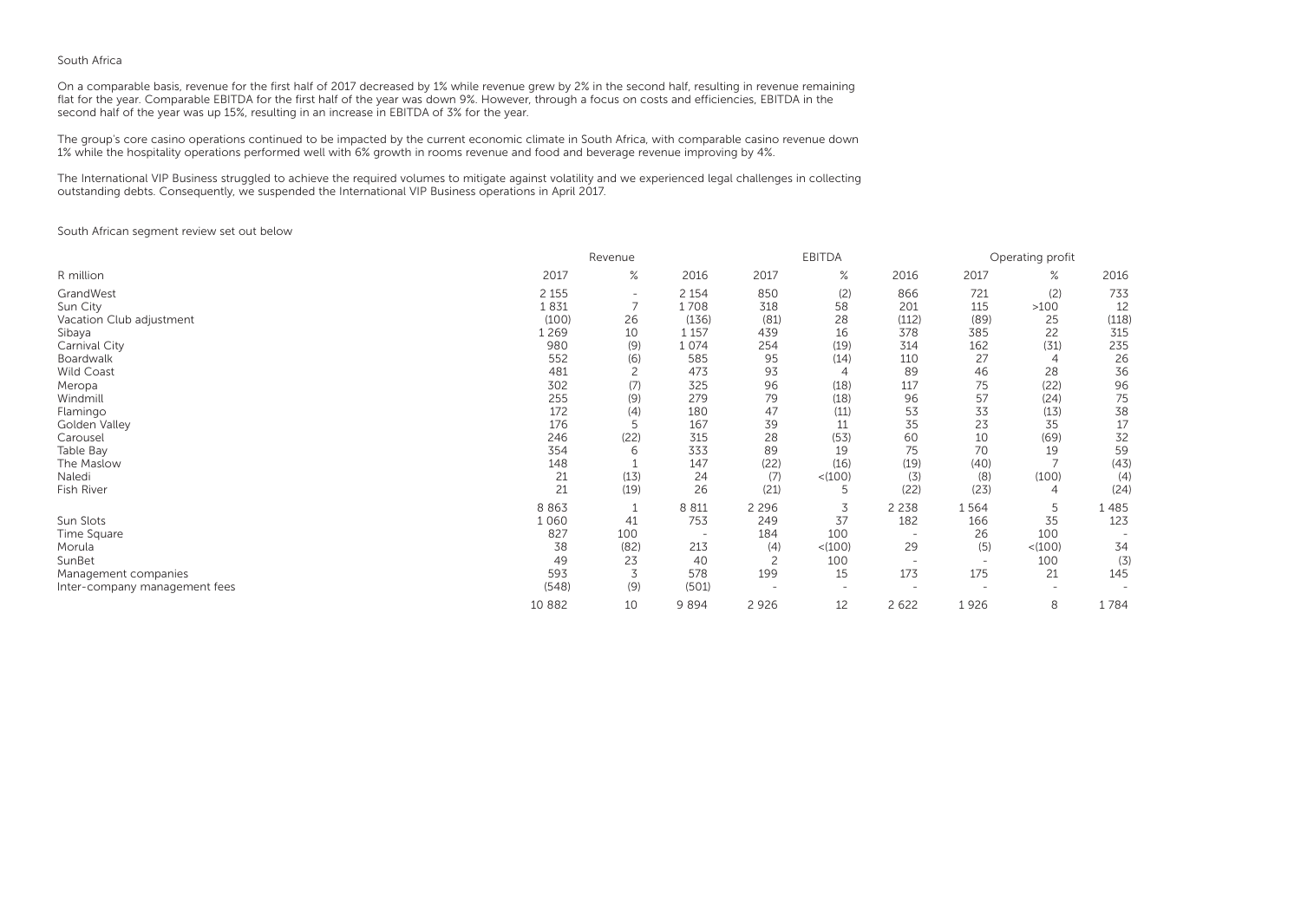## South Africa

On a comparable basis, revenue for the first half of 2017 decreased by 1% while revenue grew by 2% in the second half, resulting in revenue remaining flat for the year. Comparable EBITDA for the first half of the year was down 9%. However, through a focus on costs and efficiencies, EBITDA in the second half of the year was up 15%, resulting in an increase in EBITDA of 3% for the year.

The group's core casino operations continued to be impacted by the current economic climate in South Africa, with comparable casino revenue down 1% while the hospitality operations performed well with 6% growth in rooms revenue and food and beverage revenue improving by 4%.

The International VIP Business struggled to achieve the required volumes to mitigate against volatility and we experienced legal challenges in collecting outstanding debts. Consequently, we suspended the International VIP Business operations in April 2017.

South African segment review set out below

|                               |         | Revenue                  |                          |         |                          | <b>EBITDA</b>            |                          |                | Operating profit |  |  |
|-------------------------------|---------|--------------------------|--------------------------|---------|--------------------------|--------------------------|--------------------------|----------------|------------------|--|--|
| R million                     | 2017    | $\%$                     | 2016                     | 2017    | $\%$                     | 2016                     | 2017                     | $\%$           | 2016             |  |  |
| GrandWest                     | 2 1 5 5 | $\overline{\phantom{0}}$ | 2 1 5 4                  | 850     | (2)                      | 866                      | 721                      | (2)            | 733              |  |  |
| Sun City                      | 1831    |                          | 1708                     | 318     | 58                       | 201                      | 115                      | $>100$         | 12               |  |  |
| Vacation Club adjustment      | (100)   | 26                       | (136)                    | (81)    | 28                       | (112)                    | (89)                     | 25             | (118)            |  |  |
| Sibaya                        | 1 269   | 10                       | 1 1 5 7                  | 439     | 16                       | 378                      | 385                      | 22             | 315              |  |  |
| Carnival City                 | 980     | (9)                      | 1 0 7 4                  | 254     | (19)                     | 314                      | 162                      | (31)           | 235              |  |  |
| Boardwalk                     | 552     | (6)                      | 585                      | 95      | (14)                     | 110                      | 27                       | $\overline{4}$ | 26               |  |  |
| <b>Wild Coast</b>             | 481     |                          | 473                      | 93      |                          | 89                       | 46                       | 28             | 36               |  |  |
| Meropa                        | 302     | (7)                      | 325                      | 96      | (18)                     | 117                      | 75                       | (22)           | 96               |  |  |
| Windmill                      | 255     | (9)                      | 279                      | 79      | (18)                     | 96                       | 57                       | (24)           | 75               |  |  |
| Flamingo                      | 172     | (4)                      | 180                      | 47      | (11)                     | 53                       | 33                       | (13)           | 38               |  |  |
| Golden Valley                 | 176     | 5                        | 167                      | 39      | 11                       | 35                       | 23                       | 35             | 17               |  |  |
| Carousel                      | 246     | (22)                     | 315                      | 28      | (53)                     | 60                       | 10                       | (69)           | 32               |  |  |
| Table Bay                     | 354     | 6                        | 333                      | 89      | 19                       | 75                       | 70                       | 19             | 59               |  |  |
| The Maslow                    | 148     |                          | 147                      | (22)    | (16)                     | (19)                     | (40)                     |                | (43)             |  |  |
| Naledi                        | 21      | (13)                     | 24                       | (7)     | < (100)                  | (3)                      | (8)                      | (100)          | (4)              |  |  |
| Fish River                    | 21      | (19)                     | 26                       | (21)    | 5                        | (22)                     | (23)                     | 4              | (24)             |  |  |
|                               | 8 8 6 3 |                          | 8 8 1 1                  | 2 2 9 6 | 3                        | 2 2 3 8                  | 1564                     | 5              | 1485             |  |  |
| Sun Slots                     | 1060    | 41                       | 753                      | 249     | 37                       | 182                      | 166                      | 35             | 123              |  |  |
| Time Square                   | 827     | 100                      | $\overline{\phantom{0}}$ | 184     | 100                      |                          | 26                       | 100            |                  |  |  |
| Morula                        | 38      | (82)                     | 213                      | (4)     | < (100)                  | 29                       | (5)                      | < (100)        | 34               |  |  |
| SunBet                        | 49      | 23                       | 40                       |         | 100                      |                          | $\overline{\phantom{a}}$ | 100            | (3)              |  |  |
| Management companies          | 593     | 3                        | 578                      | 199     | 15                       | 173                      | 175                      | 21             | 145              |  |  |
| Inter-company management fees | (548)   | (9)                      | (501)                    |         | $\overline{\phantom{0}}$ | $\overline{\phantom{a}}$ |                          |                |                  |  |  |
|                               | 10 882  | 10                       | 9894                     | 2 9 2 6 | 12                       | 2 6 2 2                  | 1926                     | 8              | 1784             |  |  |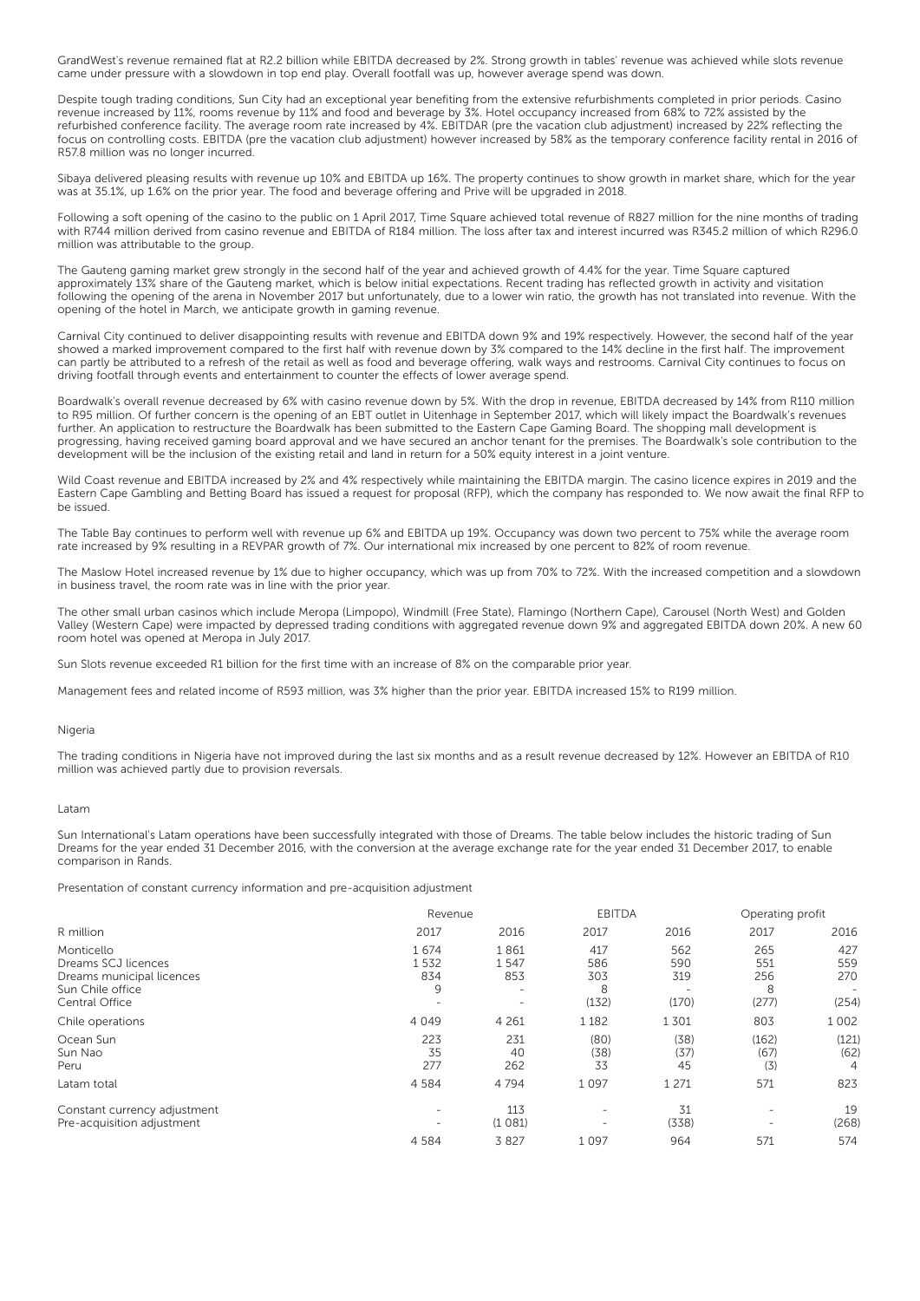GrandWest's revenue remained flat at R2.2 billion while EBITDA decreased by 2%. Strong growth in tables' revenue was achieved while slots revenue came under pressure with a slowdown in top end play. Overall footfall was up, however average spend was down.

Despite tough trading conditions, Sun City had an exceptional year benefiting from the extensive refurbishments completed in prior periods. Casino revenue increased by 11%, rooms revenue by 11% and food and beverage by 3%. Hotel occupancy increased from 68% to 72% assisted by the refurbished conference facility. The average room rate increased by 4%. EBITDAR (pre the vacation club adjustment) increased by 22% reflecting the focus on controlling costs. EBITDA (pre the vacation club adjustment) however increased by 58% as the temporary conference facility rental in 2016 of R57.8 million was no longer incurred.

Sibaya delivered pleasing results with revenue up 10% and EBITDA up 16%. The property continues to show growth in market share, which for the year was at 35.1%, up 1.6% on the prior year. The food and beverage offering and Prive will be upgraded in 2018.

Following a soft opening of the casino to the public on 1 April 2017, Time Square achieved total revenue of R827 million for the nine months of trading with R744 million derived from casino revenue and EBITDA of R184 million. The loss after tax and interest incurred was R345.2 million of which R296.0 million was attributable to the group.

The Gauteng gaming market grew strongly in the second half of the year and achieved growth of 4.4% for the year. Time Square captured approximately 13% share of the Gauteng market, which is below initial expectations. Recent trading has reflected growth in activity and visitation following the opening of the arena in November 2017 but unfortunately, due to a lower win ratio, the growth has not translated into revenue. With the opening of the hotel in March, we anticipate growth in gaming revenue.

Carnival City continued to deliver disappointing results with revenue and EBITDA down 9% and 19% respectively. However, the second half of the year showed a marked improvement compared to the first half with revenue down by 3% compared to the 14% decline in the first half. The improvement can partly be attributed to a refresh of the retail as well as food and beverage offering, walk ways and restrooms. Carnival City continues to focus on driving footfall through events and entertainment to counter the effects of lower average spend.

Boardwalk's overall revenue decreased by 6% with casino revenue down by 5%. With the drop in revenue, EBITDA decreased by 14% from R110 million to R95 million. Of further concern is the opening of an EBT outlet in Uitenhage in September 2017, which will likely impact the Boardwalk's revenues further. An application to restructure the Boardwalk has been submitted to the Eastern Cape Gaming Board. The shopping mall development is progressing, having received gaming board approval and we have secured an anchor tenant for the premises. The Boardwalk's sole contribution to the development will be the inclusion of the existing retail and land in return for a 50% equity interest in a joint venture.

Wild Coast revenue and EBITDA increased by 2% and 4% respectively while maintaining the EBITDA margin. The casino licence expires in 2019 and the Eastern Cape Gambling and Betting Board has issued a request for proposal (RFP), which the company has responded to. We now await the final RFP to be issued.

The Table Bay continues to perform well with revenue up 6% and EBITDA up 19%. Occupancy was down two percent to 75% while the average room rate increased by 9% resulting in a REVPAR growth of 7%. Our international mix increased by one percent to 82% of room revenue.

The Maslow Hotel increased revenue by 1% due to higher occupancy, which was up from 70% to 72%. With the increased competition and a slowdown in business travel, the room rate was in line with the prior year.

The other small urban casinos which include Meropa (Limpopo), Windmill (Free State), Flamingo (Northern Cape), Carousel (North West) and Golden Valley (Western Cape) were impacted by depressed trading conditions with aggregated revenue down 9% and aggregated EBITDA down 20%. A new 60 room hotel was opened at Meropa in July 2017.

Sun Slots revenue exceeded R1 billion for the first time with an increase of 8% on the comparable prior year.

Management fees and related income of R593 million, was 3% higher than the prior year. EBITDA increased 15% to R199 million.

### Nigeria

The trading conditions in Nigeria have not improved during the last six months and as a result revenue decreased by 12%. However an EBITDA of R10 million was achieved partly due to provision reversals.

#### Latam

Sun International's Latam operations have been successfully integrated with those of Dreams. The table below includes the historic trading of Sun Dreams for the year ended 31 December 2016, with the conversion at the average exchange rate for the year ended 31 December 2017, to enable comparison in Rands.

Presentation of constant currency information and pre-acquisition adjustment

|                                                                                                      |                                                      | Revenue                                                                     |                                 |                            | Operating profit                              |                                                        |  |
|------------------------------------------------------------------------------------------------------|------------------------------------------------------|-----------------------------------------------------------------------------|---------------------------------|----------------------------|-----------------------------------------------|--------------------------------------------------------|--|
| R million                                                                                            | 2017                                                 | 2016                                                                        | 2017                            | 2016                       | 2017                                          | 2016                                                   |  |
| Monticello<br>Dreams SCJ licences<br>Dreams municipal licences<br>Sun Chile office<br>Central Office | 1674<br>1532<br>834<br>9                             | 1861<br>1547<br>853<br>$\overline{\phantom{0}}$<br>$\overline{\phantom{0}}$ | 417<br>586<br>303<br>8<br>(132) | 562<br>590<br>319<br>(170) | 265<br>551<br>256<br>8<br>(277)               | 427<br>559<br>270<br>$\overline{\phantom{0}}$<br>(254) |  |
| Chile operations                                                                                     | 4 0 4 9                                              | 4 2 6 1                                                                     | 1 1 8 2                         | 1301                       | 803                                           | 1 0 0 2                                                |  |
| Ocean Sun<br>Sun Nao<br>Peru                                                                         | 223<br>35<br>277                                     | 231<br>40<br>262                                                            | (80)<br>(38)<br>33              | (38)<br>(37)<br>45         | (162)<br>(67)<br>(3)                          | (121)<br>(62)<br>4                                     |  |
| Latam total                                                                                          | 4 5 8 4                                              | 4 7 9 4                                                                     | 1097                            | 1 2 7 1                    | 571                                           | 823                                                    |  |
| Constant currency adjustment<br>Pre-acquisition adjustment                                           | $\overline{\phantom{0}}$<br>$\overline{\phantom{0}}$ | 113<br>(1081)                                                               | -<br>-                          | 31<br>(338)                | $\qquad \qquad =$<br>$\overline{\phantom{0}}$ | 19<br>(268)                                            |  |
|                                                                                                      | 4 5 8 4                                              | 3827                                                                        | 1097                            | 964                        | 571                                           | 574                                                    |  |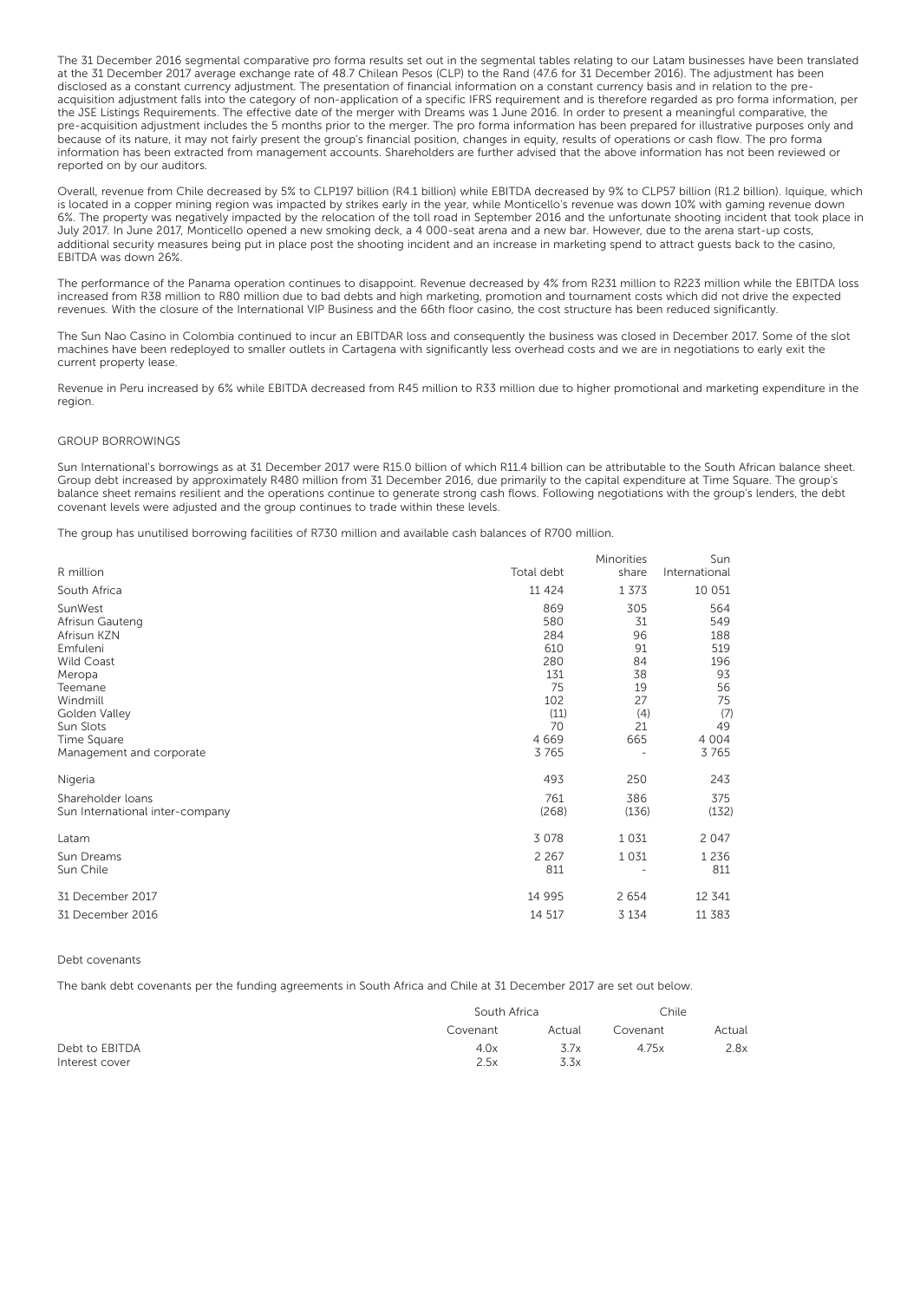The 31 December 2016 segmental comparative pro forma results set out in the segmental tables relating to our Latam businesses have been translated at the 31 December 2017 average exchange rate of 48.7 Chilean Pesos (CLP) to the Rand (47.6 for 31 December 2016). The adjustment has been disclosed as a constant currency adjustment. The presentation of financial information on a constant currency basis and in relation to the preacquisition adjustment falls into the category of non-application of a specific IFRS requirement and is therefore regarded as pro forma information, per the JSE Listings Requirements. The effective date of the merger with Dreams was 1 June 2016. In order to present a meaningful comparative, the pre-acquisition adjustment includes the 5 months prior to the merger. The pro forma information has been prepared for illustrative purposes only and because of its nature, it may not fairly present the group's financial position, changes in equity, results of operations or cash flow. The pro forma information has been extracted from management accounts. Shareholders are further advised that the above information has not been reviewed or reported on by our auditors.

Overall, revenue from Chile decreased by 5% to CLP197 billion (R4.1 billion) while EBITDA decreased by 9% to CLP57 billion (R1.2 billion). Iquique, which is located in a copper mining region was impacted by strikes early in the year, while Monticello's revenue was down 10% with gaming revenue down 6%. The property was negatively impacted by the relocation of the toll road in September 2016 and the unfortunate shooting incident that took place in July 2017. In June 2017, Monticello opened a new smoking deck, a 4 000-seat arena and a new bar. However, due to the arena start-up costs, additional security measures being put in place post the shooting incident and an increase in marketing spend to attract guests back to the casino, EBITDA was down 26%.

The performance of the Panama operation continues to disappoint. Revenue decreased by 4% from R231 million to R223 million while the EBITDA loss increased from R38 million to R80 million due to bad debts and high marketing, promotion and tournament costs which did not drive the expected revenues. With the closure of the International VIP Business and the 66th floor casino, the cost structure has been reduced significantly.

The Sun Nao Casino in Colombia continued to incur an EBITDAR loss and consequently the business was closed in December 2017. Some of the slot machines have been redeployed to smaller outlets in Cartagena with significantly less overhead costs and we are in negotiations to early exit the current property lease.

Revenue in Peru increased by 6% while EBITDA decreased from R45 million to R33 million due to higher promotional and marketing expenditure in the region.

### GROUP BORROWINGS

Sun International's borrowings as at 31 December 2017 were R15.0 billion of which R11.4 billion can be attributable to the South African balance sheet. Group debt increased by approximately R480 million from 31 December 2016, due primarily to the capital expenditure at Time Square. The group's balance sheet remains resilient and the operations continue to generate strong cash flows. Following negotiations with the group's lenders, the debt covenant levels were adjusted and the group continues to trade within these levels.

The group has unutilised borrowing facilities of R730 million and available cash balances of R700 million.

| R million                       | Total debt | Minorities<br>share | Sun<br>International |
|---------------------------------|------------|---------------------|----------------------|
| South Africa                    | 11 4 24    | 1 3 7 3             | 10 051               |
| SunWest                         | 869        | 305                 | 564                  |
| Afrisun Gauteng                 | 580        | 31                  | 549                  |
| Afrisun KZN                     | 284        | 96                  | 188                  |
| Emfuleni                        | 610        | 91                  | 519                  |
| <b>Wild Coast</b>               | 280        | 84                  | 196                  |
| Meropa                          | 131        | 38                  | 93                   |
| Teemane                         | 75         | 19                  | 56                   |
| Windmill                        | 102        | 27                  | 75                   |
| Golden Valley                   | (11)       | (4)                 | (7)                  |
| Sun Slots                       | 70         | 21                  | 49                   |
| Time Square                     | 4669       | 665                 | 4 0 0 4              |
| Management and corporate        | 3765       |                     | 3765                 |
| Nigeria                         | 493        | 250                 | 243                  |
| Shareholder loans               | 761        | 386                 | 375                  |
| Sun International inter-company | (268)      | (136)               | (132)                |
| Latam                           | 3 0 7 8    | 1031                | 2 0 4 7              |
| Sun Dreams                      | 2 2 6 7    | 1 0 3 1             | 1 2 3 6              |
| Sun Chile                       | 811        |                     | 811                  |
| 31 December 2017                | 14 9 95    | 2 6 5 4             | 12 341               |
| 31 December 2016                | 14 517     | 3 1 3 4             | 11 383               |

#### Debt covenants

The bank debt covenants per the funding agreements in South Africa and Chile at 31 December 2017 are set out below.

|                |          | South Africa |          |        |
|----------------|----------|--------------|----------|--------|
|                | Covenant | Actual       | Covenant | Actual |
| Debt to EBITDA | 4.0x     | 3.7x         | 4.75x    | 2.8x   |
| Interest cover | 2.5x     | 3.3x         |          |        |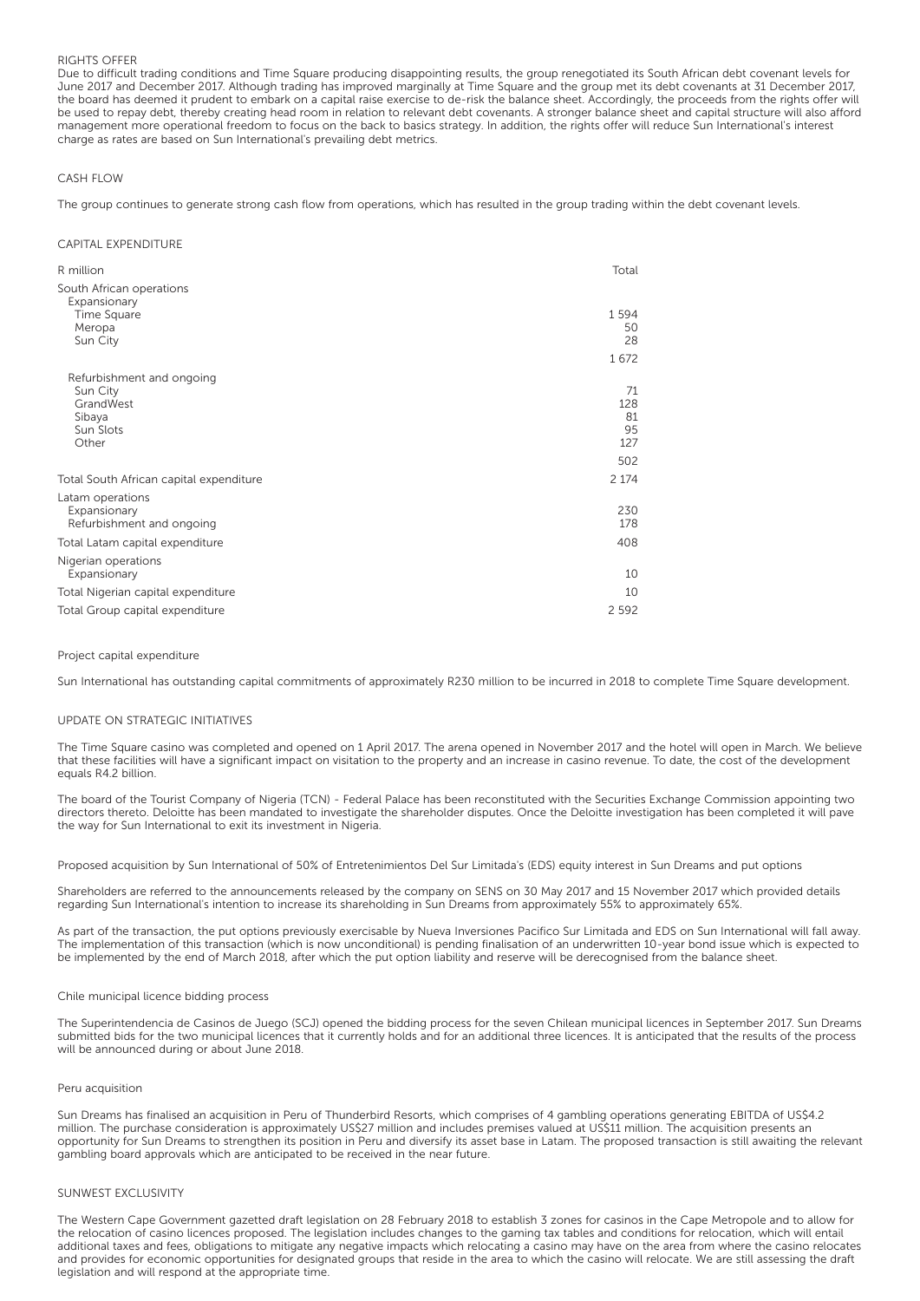## RIGHTS OFFER

Due to difficult trading conditions and Time Square producing disappointing results, the group renegotiated its South African debt covenant levels for June 2017 and December 2017. Although trading has improved marginally at Time Square and the group met its debt covenants at 31 December 2017, the board has deemed it prudent to embark on a capital raise exercise to de-risk the balance sheet. Accordingly, the proceeds from the rights offer will be used to repay debt, thereby creating head room in relation to relevant debt covenants. A stronger balance sheet and capital structure will also afford management more operational freedom to focus on the back to basics strategy. In addition, the rights offer will reduce Sun International's interest charge as rates are based on Sun International's prevailing debt metrics.

## CASH FLOW

The group continues to generate strong cash flow from operations, which has resulted in the group trading within the debt covenant levels.

### CAPITAL EXPENDITURE

| R million                                                     | Total                  |
|---------------------------------------------------------------|------------------------|
| South African operations                                      |                        |
| Expansionary<br>Time Square<br>Meropa<br>Sun City             | 1594<br>50<br>28       |
|                                                               | 1672                   |
| Refurbishment and ongoing<br>Sun City                         | 71                     |
| GrandWest<br>Sibaya<br>Sun Slots<br>Other                     | 128<br>81<br>95<br>127 |
|                                                               | 502                    |
| Total South African capital expenditure                       | 2 1 7 4                |
| Latam operations<br>Expansionary<br>Refurbishment and ongoing | 230<br>178             |
| Total Latam capital expenditure                               | 408                    |
| Nigerian operations<br>Expansionary                           | 10                     |
| Total Nigerian capital expenditure                            | 10                     |
| Total Group capital expenditure                               | 2 5 9 2                |

### Project capital expenditure

Sun International has outstanding capital commitments of approximately R230 million to be incurred in 2018 to complete Time Square development.

### UPDATE ON STRATEGIC INITIATIVES

The Time Square casino was completed and opened on 1 April 2017. The arena opened in November 2017 and the hotel will open in March. We believe that these facilities will have a significant impact on visitation to the property and an increase in casino revenue. To date, the cost of the development equals R4.2 billion.

The board of the Tourist Company of Nigeria (TCN) - Federal Palace has been reconstituted with the Securities Exchange Commission appointing two directors thereto. Deloitte has been mandated to investigate the shareholder disputes. Once the Deloitte investigation has been completed it will pave the way for Sun International to exit its investment in Nigeria.

Proposed acquisition by Sun International of 50% of Entretenimientos Del Sur Limitada's (EDS) equity interest in Sun Dreams and put options

Shareholders are referred to the announcements released by the company on SENS on 30 May 2017 and 15 November 2017 which provided details regarding Sun International's intention to increase its shareholding in Sun Dreams from approximately 55% to approximately 65%.

As part of the transaction, the put options previously exercisable by Nueva Inversiones Pacifico Sur Limitada and EDS on Sun International will fall away. The implementation of this transaction (which is now unconditional) is pending finalisation of an underwritten 10-year bond issue which is expected to be implemented by the end of March 2018, after which the put option liability and reserve will be derecognised from the balance sheet.

### Chile municipal licence bidding process

The Superintendencia de Casinos de Juego (SCJ) opened the bidding process for the seven Chilean municipal licences in September 2017. Sun Dreams submitted bids for the two municipal licences that it currently holds and for an additional three licences. It is anticipated that the results of the process will be announced during or about June 2018.

### Peru acquisition

Sun Dreams has finalised an acquisition in Peru of Thunderbird Resorts, which comprises of 4 gambling operations generating EBITDA of US\$4.2 million. The purchase consideration is approximately US\$27 million and includes premises valued at US\$11 million. The acquisition presents an opportunity for Sun Dreams to strengthen its position in Peru and diversify its asset base in Latam. The proposed transaction is still awaiting the relevant gambling board approvals which are anticipated to be received in the near future.

### SUNWEST EXCLUSIVITY

The Western Cape Government gazetted draft legislation on 28 February 2018 to establish 3 zones for casinos in the Cape Metropole and to allow for the relocation of casino licences proposed. The legislation includes changes to the gaming tax tables and conditions for relocation, which will entail additional taxes and fees, obligations to mitigate any negative impacts which relocating a casino may have on the area from where the casino relocates and provides for economic opportunities for designated groups that reside in the area to which the casino will relocate. We are still assessing the draft legislation and will respond at the appropriate time.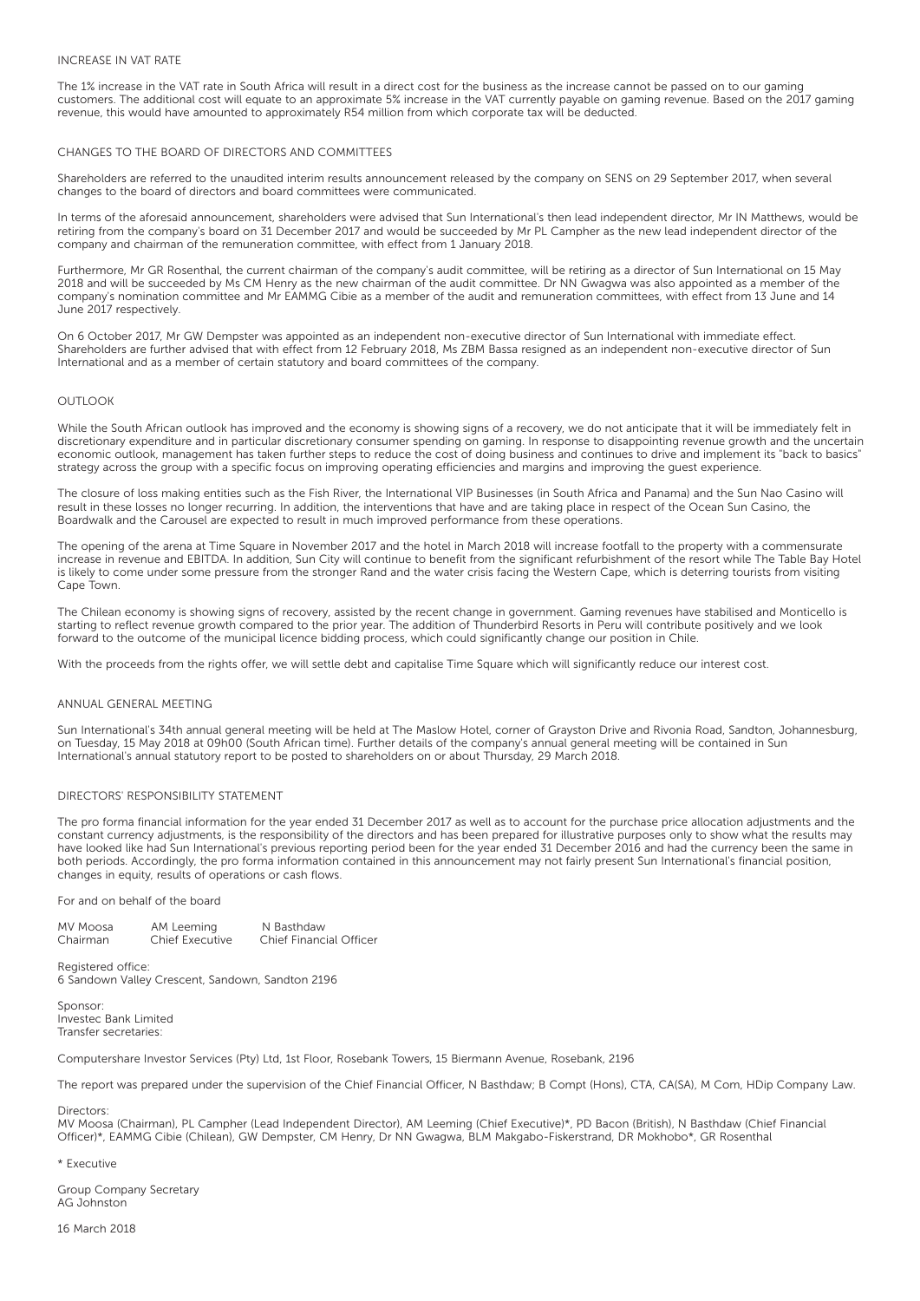## INCREASE IN VAT RATE

The 1% increase in the VAT rate in South Africa will result in a direct cost for the business as the increase cannot be passed on to our gaming customers. The additional cost will equate to an approximate 5% increase in the VAT currently payable on gaming revenue. Based on the 2017 gaming revenue, this would have amounted to approximately R54 million from which corporate tax will be deducted.

## CHANGES TO THE BOARD OF DIRECTORS AND COMMITTEES

Shareholders are referred to the unaudited interim results announcement released by the company on SENS on 29 September 2017, when several changes to the board of directors and board committees were communicated.

In terms of the aforesaid announcement, shareholders were advised that Sun International's then lead independent director, Mr IN Matthews, would be retiring from the company's board on 31 December 2017 and would be succeeded by Mr PL Campher as the new lead independent director of the company and chairman of the remuneration committee, with effect from 1 January 2018.

Furthermore, Mr GR Rosenthal, the current chairman of the company's audit committee, will be retiring as a director of Sun International on 15 May 2018 and will be succeeded by Ms CM Henry as the new chairman of the audit committee. Dr NN Gwagwa was also appointed as a member of the company's nomination committee and Mr EAMMG Cibie as a member of the audit and remuneration committees, with effect from 13 June and 14 June 2017 respectively.

On 6 October 2017, Mr GW Dempster was appointed as an independent non-executive director of Sun International with immediate effect. Shareholders are further advised that with effect from 12 February 2018, Ms ZBM Bassa resigned as an independent non-executive director of Sun International and as a member of certain statutory and board committees of the company.

### OUTLOOK

While the South African outlook has improved and the economy is showing signs of a recovery, we do not anticipate that it will be immediately felt in discretionary expenditure and in particular discretionary consumer spending on gaming. In response to disappointing revenue growth and the uncertain economic outlook, management has taken further steps to reduce the cost of doing business and continues to drive and implement its "back to basics" strategy across the group with a specific focus on improving operating efficiencies and margins and improving the guest experience.

The closure of loss making entities such as the Fish River, the International VIP Businesses (in South Africa and Panama) and the Sun Nao Casino will result in these losses no longer recurring. In addition, the interventions that have and are taking place in respect of the Ocean Sun Casino, the Boardwalk and the Carousel are expected to result in much improved performance from these operations.

The opening of the arena at Time Square in November 2017 and the hotel in March 2018 will increase footfall to the property with a commensurate increase in revenue and EBITDA. In addition, Sun City will continue to benefit from the significant refurbishment of the resort while The Table Bay Hotel is likely to come under some pressure from the stronger Rand and the water crisis facing the Western Cape, which is deterring tourists from visiting Cape Town.

The Chilean economy is showing signs of recovery, assisted by the recent change in government. Gaming revenues have stabilised and Monticello is starting to reflect revenue growth compared to the prior year. The addition of Thunderbird Resorts in Peru will contribute positively and we look forward to the outcome of the municipal licence bidding process, which could significantly change our position in Chile.

With the proceeds from the rights offer, we will settle debt and capitalise Time Square which will significantly reduce our interest cost.

## ANNUAL GENERAL MEETING

Sun International's 34th annual general meeting will be held at The Maslow Hotel, corner of Grayston Drive and Rivonia Road, Sandton, Johannesburg, on Tuesday, 15 May 2018 at 09h00 (South African time). Further details of the company's annual general meeting will be contained in Sun International's annual statutory report to be posted to shareholders on or about Thursday, 29 March 2018.

### DIRECTORS' RESPONSIBILITY STATEMENT

The pro forma financial information for the year ended 31 December 2017 as well as to account for the purchase price allocation adjustments and the constant currency adjustments, is the responsibility of the directors and has been prepared for illustrative purposes only to show what the results may have looked like had Sun International's previous reporting period been for the year ended 31 December 2016 and had the currency been the same in both periods. Accordingly, the pro forma information contained in this announcement may not fairly present Sun International's financial position, changes in equity, results of operations or cash flows.

For and on behalf of the board

MV Moosa AM Leeming N Basthdaw<br>Chairman Chief Executive Chief Financ Chairman Chief Executive Chief Financial Officer

Registered office: 6 Sandown Valley Crescent, Sandown, Sandton 2196

Sponsor: Investec Bank Limited Transfer secretaries:

Computershare Investor Services (Pty) Ltd, 1st Floor, Rosebank Towers, 15 Biermann Avenue, Rosebank, 2196

The report was prepared under the supervision of the Chief Financial Officer, N Basthdaw; B Compt (Hons), CTA, CA(SA), M Com, HDip Company Law.

Directors:

MV Moosa (Chairman), PL Campher (Lead Independent Director), AM Leeming (Chief Executive)\*, PD Bacon (British), N Basthdaw (Chief Financial Officer)\*, EAMMG Cibie (Chilean), GW Dempster, CM Henry, Dr NN Gwagwa, BLM Makgabo-Fiskerstrand, DR Mokhobo\*, GR Rosenthal

\* Executive

Group Company Secretary AG Johnston

16 March 2018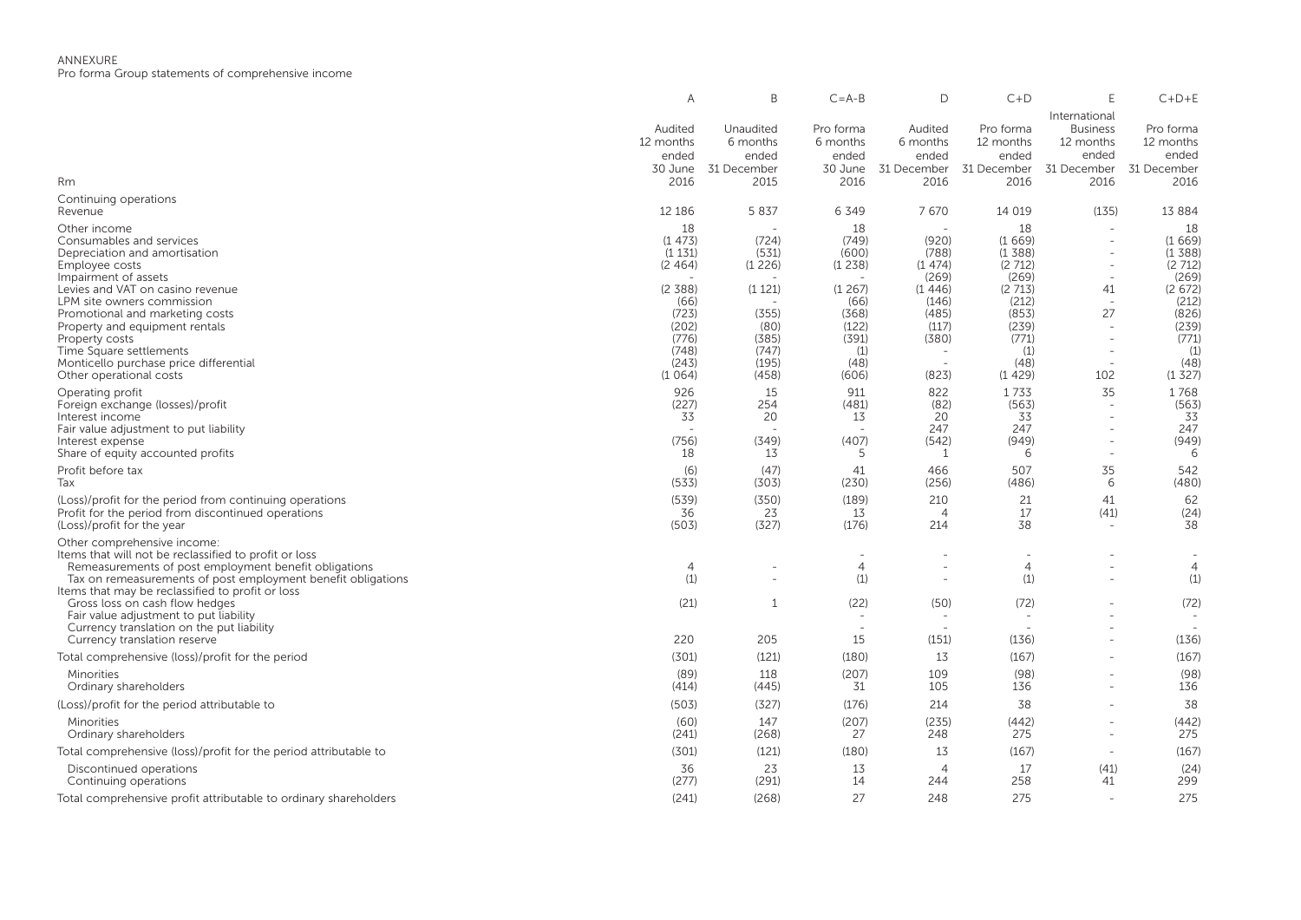|                                                                                                                                                                                                                                                                   | Α                                                           | B                                                     | $C = A - B$                                             | D                                                   | $C+D$                                                     |                                                                               | $C+D+E$                                                   |
|-------------------------------------------------------------------------------------------------------------------------------------------------------------------------------------------------------------------------------------------------------------------|-------------------------------------------------------------|-------------------------------------------------------|---------------------------------------------------------|-----------------------------------------------------|-----------------------------------------------------------|-------------------------------------------------------------------------------|-----------------------------------------------------------|
| Rm                                                                                                                                                                                                                                                                | Audited<br>12 months<br>ended<br>30 June<br>2016            | Unaudited<br>6 months<br>ended<br>31 December<br>2015 | Pro forma<br>6 months<br>ended<br>30 June<br>2016       | Audited<br>6 months<br>ended<br>31 December<br>2016 | Pro forma<br>12 months<br>ended<br>31 December<br>2016    | International<br><b>Business</b><br>12 months<br>ended<br>31 December<br>2016 | Pro forma<br>12 months<br>ended<br>31 December<br>2016    |
| Continuing operations<br>Revenue                                                                                                                                                                                                                                  | 12 18 6                                                     | 5 8 3 7                                               | 6 3 4 9                                                 | 7670                                                | 14 019                                                    | (135)                                                                         | 13 8 8 4                                                  |
| Other income<br>Consumables and services<br>Depreciation and amortisation<br>Employee costs<br>Impairment of assets<br>Levies and VAT on casino revenue                                                                                                           | 18<br>(1473)<br>(1131)<br>(2, 464)<br>(2, 388)              | (724)<br>(531)<br>(1226)<br>(1 121)                   | 18<br>(749)<br>(600)<br>(1238)<br>(1267)                | (920)<br>(788)<br>(1474)<br>(269)<br>(1446)         | 18<br>(1669)<br>(1388)<br>(2712)<br>(269)<br>(2713)       | 41                                                                            | 18<br>(1669)<br>(1388)<br>(2712)<br>(269)<br>(2672)       |
| LPM site owners commission<br>Promotional and marketing costs<br>Property and equipment rentals<br>Property costs<br>Time Square settlements<br>Monticello purchase price differential<br>Other operational costs                                                 | (66)<br>(723)<br>(202)<br>(776)<br>(748)<br>(243)<br>(1064) | (355)<br>(80)<br>(385)<br>(747)<br>(195)<br>(458)     | (66)<br>(368)<br>(122)<br>(391)<br>(1)<br>(48)<br>(606) | (146)<br>(485)<br>(117)<br>(380)<br>(823)           | (212)<br>(853)<br>(239)<br>(771)<br>(1)<br>(48)<br>(1429) | $\overline{\phantom{a}}$<br>27<br>$\overline{a}$<br>102                       | (212)<br>(826)<br>(239)<br>(771)<br>(1)<br>(48)<br>(1327) |
| Operating profit<br>Foreign exchange (losses)/profit<br>Interest income<br>Fair value adjustment to put liability<br>Interest expense<br>Share of equity accounted profits                                                                                        | 926<br>(227)<br>33<br>(756)<br>18                           | 15<br>254<br>20<br>(349)<br>13                        | 911<br>(481)<br>13<br>(407)<br>5                        | 822<br>(82)<br>20<br>247<br>(542)<br>-1             | 1733<br>(563)<br>33<br>247<br>(949)<br>6                  | 35<br>$\sim$                                                                  | 1768<br>(563)<br>33<br>247<br>(949)<br>6                  |
| Profit before tax<br>Tax                                                                                                                                                                                                                                          | (6)<br>(533)                                                | (47)<br>(303)                                         | 41<br>(230)                                             | 466<br>(256)                                        | 507<br>(486)                                              | 35<br>6                                                                       | 542<br>(480)                                              |
| (Loss)/profit for the period from continuing operations<br>Profit for the period from discontinued operations<br>(Loss)/profit for the year                                                                                                                       | (539)<br>36<br>(503)                                        | (350)<br>23<br>(327)                                  | (189)<br>13<br>(176)                                    | 210<br>$\overline{4}$<br>214                        | 21<br>17<br>38                                            | 41<br>(41)                                                                    | 62<br>(24)<br>38                                          |
| Other comprehensive income:<br>Items that will not be reclassified to profit or loss<br>Remeasurements of post employment benefit obligations<br>Tax on remeasurements of post employment benefit obligations<br>Items that may be reclassified to profit or loss | 4<br>(1)                                                    |                                                       | $\overline{4}$<br>(1)                                   |                                                     | $\overline{4}$<br>(1)                                     |                                                                               | $\overline{4}$<br>(1)                                     |
| Gross loss on cash flow hedges<br>Fair value adjustment to put liability<br>Currency translation on the put liability<br>Currency translation reserve                                                                                                             | (21)<br>220                                                 | 1<br>205                                              | (22)<br>15                                              | (50)<br>(151)                                       | (72)<br>$\overline{\phantom{0}}$<br>(136)                 |                                                                               | (72)<br>(136)                                             |
| Total comprehensive (loss)/profit for the period                                                                                                                                                                                                                  | (301)                                                       | (121)                                                 | (180)                                                   | 13                                                  | (167)                                                     |                                                                               | (167)                                                     |
| Minorities<br>Ordinary shareholders                                                                                                                                                                                                                               | (89)<br>(414)                                               | 118<br>(445)                                          | (207)<br>31                                             | 109<br>105                                          | (98)<br>136                                               |                                                                               | (98)<br>136                                               |
| (Loss)/profit for the period attributable to                                                                                                                                                                                                                      | (503)                                                       | (327)                                                 | (176)                                                   | 214                                                 | 38                                                        | $\overline{\phantom{a}}$                                                      | 38                                                        |
| Minorities<br>Ordinary shareholders                                                                                                                                                                                                                               | (60)<br>(241)                                               | 147<br>(268)                                          | (207)<br>27                                             | (235)<br>248                                        | (442)<br>275                                              | $\overline{\phantom{a}}$                                                      | (442)<br>275                                              |
| Total comprehensive (loss)/profit for the period attributable to                                                                                                                                                                                                  | (301)                                                       | (121)                                                 | (180)                                                   | 13                                                  | (167)                                                     | $\overline{\phantom{a}}$                                                      | (167)                                                     |
| Discontinued operations<br>Continuing operations                                                                                                                                                                                                                  | 36<br>(277)                                                 | 23<br>(291)                                           | 13<br>14                                                | $\overline{A}$<br>244                               | 17<br>258                                                 | (41)<br>41                                                                    | (24)<br>299                                               |
| Total comprehensive profit attributable to ordinary shareholders                                                                                                                                                                                                  | (241)                                                       | (268)                                                 | 27                                                      | 248                                                 | 275                                                       |                                                                               | 275                                                       |